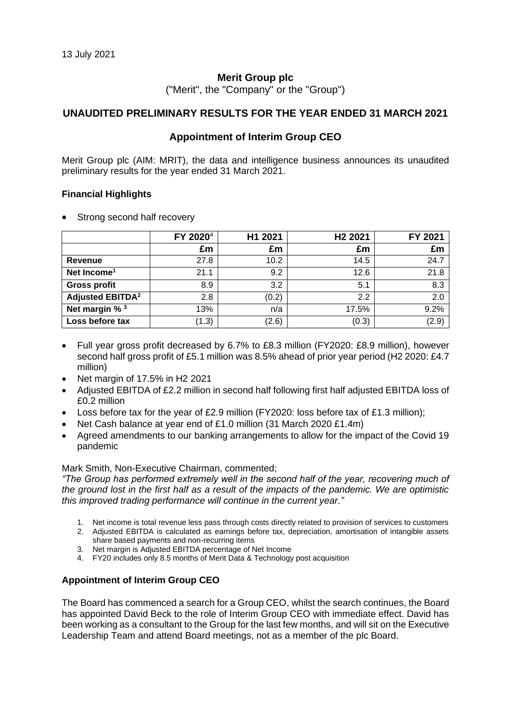#### **Merit Group plc**

("Merit", the "Company" or the "Group")

#### **UNAUDITED PRELIMINARY RESULTS FOR THE YEAR ENDED 31 MARCH 2021**

#### **Appointment of Interim Group CEO**

Merit Group plc (AIM: MRIT), the data and intelligence business announces its unaudited preliminary results for the year ended 31 March 2021.

#### **Financial Highlights**

• Strong second half recovery

|                                    | FY 2020 <sup>4</sup> | H1 2021 | H <sub>2</sub> 2021 | FY 2021 |
|------------------------------------|----------------------|---------|---------------------|---------|
|                                    | £m                   | £m      | £m                  | £m      |
| Revenue                            | 27.8                 | 10.2    | 14.5                | 24.7    |
| Net Income <sup>1</sup>            | 21.1                 | 9.2     | 12.6                | 21.8    |
| <b>Gross profit</b>                | 8.9                  | 3.2     | 5.1                 | 8.3     |
| <b>Adjusted EBITDA<sup>2</sup></b> | 2.8                  | (0.2)   | 2.2                 | 2.0     |
| Net margin % <sup>3</sup>          | 13%                  | n/a     | 17.5%               | 9.2%    |
| Loss before tax                    | (1.3)                | (2.6)   | (0.3)               | (2.9)   |

- Full year gross profit decreased by 6.7% to £8.3 million (FY2020: £8.9 million), however second half gross profit of £5.1 million was 8.5% ahead of prior year period (H2 2020: £4.7 million)
- Net margin of 17.5% in H2 2021
- Adjusted EBITDA of £2.2 million in second half following first half adjusted EBITDA loss of £0.2 million
- Loss before tax for the year of £2.9 million (FY2020: loss before tax of £1.3 million);
- Net Cash balance at year end of £1.0 million (31 March 2020 £1.4m)
- Agreed amendments to our banking arrangements to allow for the impact of the Covid 19 pandemic

#### Mark Smith, Non-Executive Chairman, commented;

*"The Group has performed extremely well in the second half of the year, recovering much of the ground lost in the first half as a result of the impacts of the pandemic. We are optimistic this improved trading performance will continue in the current year."*

- 1. Net income is total revenue less pass through costs directly related to provision of services to customers
- 2. Adjusted EBITDA is calculated as earnings before tax, depreciation, amortisation of intangible assets share based payments and non-recurring items
- 3. Net margin is Adjusted EBITDA percentage of Net Income
- 4. FY20 includes only 8.5 months of Merit Data & Technology post acquisition

#### **Appointment of Interim Group CEO**

The Board has commenced a search for a Group CEO, whilst the search continues, the Board has appointed David Beck to the role of Interim Group CEO with immediate effect. David has been working as a consultant to the Group for the last few months, and will sit on the Executive Leadership Team and attend Board meetings, not as a member of the plc Board.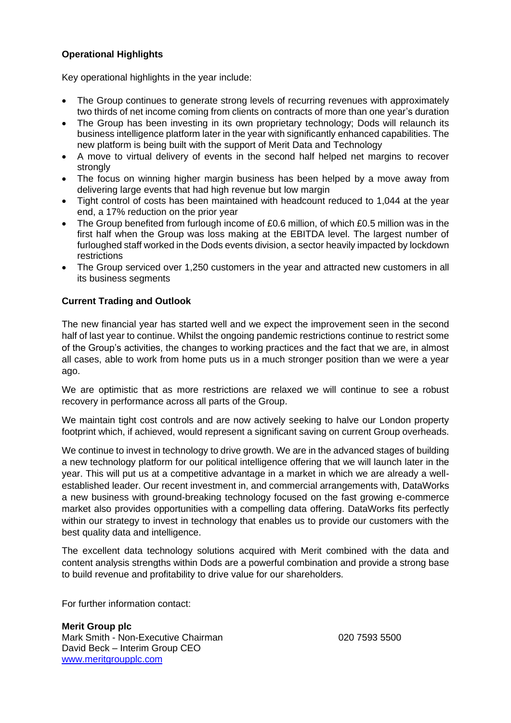# **Operational Highlights**

Key operational highlights in the year include:

- The Group continues to generate strong levels of recurring revenues with approximately two thirds of net income coming from clients on contracts of more than one year's duration
- The Group has been investing in its own proprietary technology; Dods will relaunch its business intelligence platform later in the year with significantly enhanced capabilities. The new platform is being built with the support of Merit Data and Technology
- A move to virtual delivery of events in the second half helped net margins to recover strongly
- The focus on winning higher margin business has been helped by a move away from delivering large events that had high revenue but low margin
- Tight control of costs has been maintained with headcount reduced to 1,044 at the year end, a 17% reduction on the prior year
- The Group benefited from furlough income of £0.6 million, of which £0.5 million was in the first half when the Group was loss making at the EBITDA level. The largest number of furloughed staff worked in the Dods events division, a sector heavily impacted by lockdown restrictions
- The Group serviced over 1,250 customers in the year and attracted new customers in all its business segments

### **Current Trading and Outlook**

The new financial year has started well and we expect the improvement seen in the second half of last year to continue. Whilst the ongoing pandemic restrictions continue to restrict some of the Group's activities, the changes to working practices and the fact that we are, in almost all cases, able to work from home puts us in a much stronger position than we were a year ago.

We are optimistic that as more restrictions are relaxed we will continue to see a robust recovery in performance across all parts of the Group.

We maintain tight cost controls and are now actively seeking to halve our London property footprint which, if achieved, would represent a significant saving on current Group overheads.

We continue to invest in technology to drive growth. We are in the advanced stages of building a new technology platform for our political intelligence offering that we will launch later in the year. This will put us at a competitive advantage in a market in which we are already a wellestablished leader. Our recent investment in, and commercial arrangements with, DataWorks a new business with ground-breaking technology focused on the fast growing e-commerce market also provides opportunities with a compelling data offering. DataWorks fits perfectly within our strategy to invest in technology that enables us to provide our customers with the best quality data and intelligence.

The excellent data technology solutions acquired with Merit combined with the data and content analysis strengths within Dods are a powerful combination and provide a strong base to build revenue and profitability to drive value for our shareholders.

For further information contact:

**Merit Group plc** Mark Smith - Non-Executive Chairman **1988** 100 100 100 100 1593 5500 David Beck – Interim Group CEO [www.meritgroupplc.com](http://www.meritgroupplc.com/)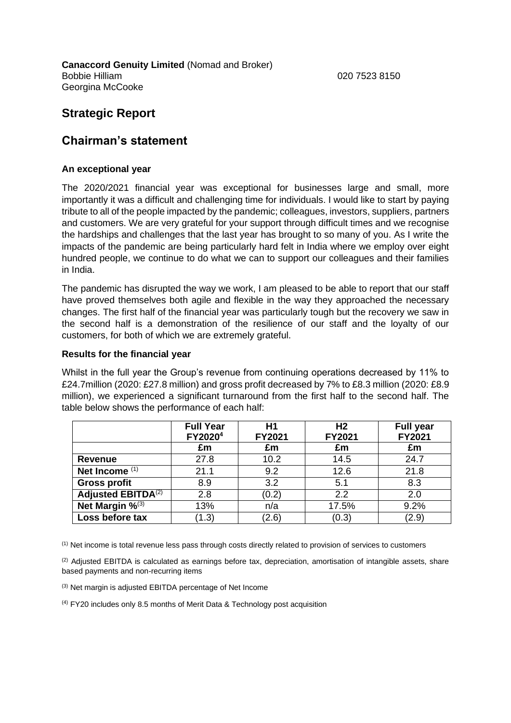**Canaccord Genuity Limited** (Nomad and Broker) Bobbie Hilliam 020 7523 8150 Georgina McCooke

# **Strategic Report**

# **Chairman's statement**

#### **An exceptional year**

The 2020/2021 financial year was exceptional for businesses large and small, more importantly it was a difficult and challenging time for individuals. I would like to start by paying tribute to all of the people impacted by the pandemic; colleagues, investors, suppliers, partners and customers. We are very grateful for your support through difficult times and we recognise the hardships and challenges that the last year has brought to so many of you. As I write the impacts of the pandemic are being particularly hard felt in India where we employ over eight hundred people, we continue to do what we can to support our colleagues and their families in India.

The pandemic has disrupted the way we work, I am pleased to be able to report that our staff have proved themselves both agile and flexible in the way they approached the necessary changes. The first half of the financial year was particularly tough but the recovery we saw in the second half is a demonstration of the resilience of our staff and the loyalty of our customers, for both of which we are extremely grateful.

#### **Results for the financial year**

Whilst in the full year the Group's revenue from continuing operations decreased by 11% to £24.7million (2020: £27.8 million) and gross profit decreased by 7% to £8.3 million (2020: £8.9 million), we experienced a significant turnaround from the first half to the second half. The table below shows the performance of each half:

|                                      | <b>Full Year</b><br>FY2020 <sup>4</sup> | H1<br>FY2021 | H <sub>2</sub><br>FY2021 | <b>Full year</b><br>FY2021 |
|--------------------------------------|-----------------------------------------|--------------|--------------------------|----------------------------|
|                                      | £m                                      | £m           | £m                       | £m                         |
| <b>Revenue</b>                       | 27.8                                    | 10.2         | 14.5                     | 24.7                       |
| Net Income <sup>(1)</sup>            | 21.1                                    | 9.2          | 12.6                     | 21.8                       |
| <b>Gross profit</b>                  | 8.9                                     | 3.2          | 5.1                      | 8.3                        |
| <b>Adjusted EBITDA<sup>(2)</sup></b> | 2.8                                     | (0.2)        | 2.2                      | 2.0                        |
| Net Margin % <sup>(3)</sup>          | 13%                                     | n/a          | 17.5%                    | 9.2%                       |
| Loss before tax                      | (1.3)                                   | (2.6)        | (0.3)                    | (2.9)                      |

(1) Net income is total revenue less pass through costs directly related to provision of services to customers

 $(2)$  Adjusted EBITDA is calculated as earnings before tax, depreciation, amortisation of intangible assets, share based payments and non-recurring items

(3) Net margin is adjusted EBITDA percentage of Net Income

(4) FY20 includes only 8.5 months of Merit Data & Technology post acquisition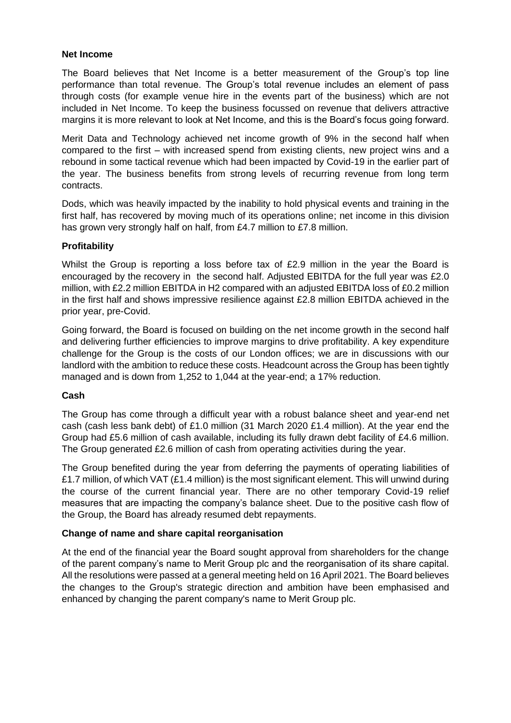#### **Net Income**

The Board believes that Net Income is a better measurement of the Group's top line performance than total revenue. The Group's total revenue includes an element of pass through costs (for example venue hire in the events part of the business) which are not included in Net Income. To keep the business focussed on revenue that delivers attractive margins it is more relevant to look at Net Income, and this is the Board's focus going forward.

Merit Data and Technology achieved net income growth of 9% in the second half when compared to the first – with increased spend from existing clients, new project wins and a rebound in some tactical revenue which had been impacted by Covid-19 in the earlier part of the year. The business benefits from strong levels of recurring revenue from long term contracts.

Dods, which was heavily impacted by the inability to hold physical events and training in the first half, has recovered by moving much of its operations online; net income in this division has grown very strongly half on half, from £4.7 million to £7.8 million.

### **Profitability**

Whilst the Group is reporting a loss before tax of £2.9 million in the year the Board is encouraged by the recovery in the second half. Adjusted EBITDA for the full year was £2.0 million, with £2.2 million EBITDA in H2 compared with an adjusted EBITDA loss of £0.2 million in the first half and shows impressive resilience against £2.8 million EBITDA achieved in the prior year, pre-Covid.

Going forward, the Board is focused on building on the net income growth in the second half and delivering further efficiencies to improve margins to drive profitability. A key expenditure challenge for the Group is the costs of our London offices; we are in discussions with our landlord with the ambition to reduce these costs. Headcount across the Group has been tightly managed and is down from 1,252 to 1,044 at the year-end; a 17% reduction.

#### **Cash**

The Group has come through a difficult year with a robust balance sheet and year-end net cash (cash less bank debt) of £1.0 million (31 March 2020 £1.4 million). At the year end the Group had £5.6 million of cash available, including its fully drawn debt facility of £4.6 million. The Group generated £2.6 million of cash from operating activities during the year.

The Group benefited during the year from deferring the payments of operating liabilities of £1.7 million, of which VAT (£1.4 million) is the most significant element. This will unwind during the course of the current financial year. There are no other temporary Covid-19 relief measures that are impacting the company's balance sheet. Due to the positive cash flow of the Group, the Board has already resumed debt repayments.

#### **Change of name and share capital reorganisation**

At the end of the financial year the Board sought approval from shareholders for the change of the parent company's name to Merit Group plc and the reorganisation of its share capital. All the resolutions were passed at a general meeting held on 16 April 2021. The Board believes the changes to the Group's strategic direction and ambition have been emphasised and enhanced by changing the parent company's name to Merit Group plc.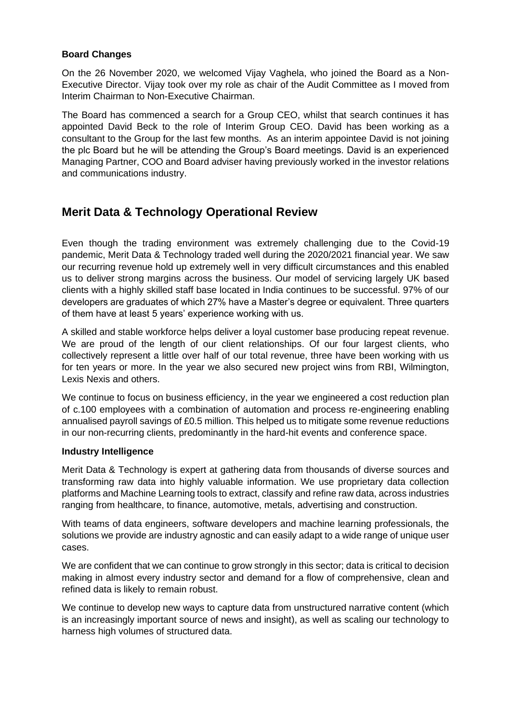#### **Board Changes**

On the 26 November 2020, we welcomed Vijay Vaghela, who joined the Board as a Non-Executive Director. Vijay took over my role as chair of the Audit Committee as I moved from Interim Chairman to Non-Executive Chairman.

The Board has commenced a search for a Group CEO, whilst that search continues it has appointed David Beck to the role of Interim Group CEO. David has been working as a consultant to the Group for the last few months. As an interim appointee David is not joining the plc Board but he will be attending the Group's Board meetings. David is an experienced Managing Partner, COO and Board adviser having previously worked in the investor relations and communications industry.

# **Merit Data & Technology Operational Review**

Even though the trading environment was extremely challenging due to the Covid-19 pandemic, Merit Data & Technology traded well during the 2020/2021 financial year. We saw our recurring revenue hold up extremely well in very difficult circumstances and this enabled us to deliver strong margins across the business. Our model of servicing largely UK based clients with a highly skilled staff base located in India continues to be successful. 97% of our developers are graduates of which 27% have a Master's degree or equivalent. Three quarters of them have at least 5 years' experience working with us.

A skilled and stable workforce helps deliver a loyal customer base producing repeat revenue. We are proud of the length of our client relationships. Of our four largest clients, who collectively represent a little over half of our total revenue, three have been working with us for ten years or more. In the year we also secured new project wins from RBI, Wilmington, Lexis Nexis and others.

We continue to focus on business efficiency, in the year we engineered a cost reduction plan of c.100 employees with a combination of automation and process re-engineering enabling annualised payroll savings of £0.5 million. This helped us to mitigate some revenue reductions in our non-recurring clients, predominantly in the hard-hit events and conference space.

# **Industry Intelligence**

Merit Data & Technology is expert at gathering data from thousands of diverse sources and transforming raw data into highly valuable information. We use proprietary data collection platforms and Machine Learning tools to extract, classify and refine raw data, across industries ranging from healthcare, to finance, automotive, metals, advertising and construction.

With teams of data engineers, software developers and machine learning professionals, the solutions we provide are industry agnostic and can easily adapt to a wide range of unique user cases.

We are confident that we can continue to grow strongly in this sector; data is critical to decision making in almost every industry sector and demand for a flow of comprehensive, clean and refined data is likely to remain robust.

We continue to develop new ways to capture data from unstructured narrative content (which is an increasingly important source of news and insight), as well as scaling our technology to harness high volumes of structured data.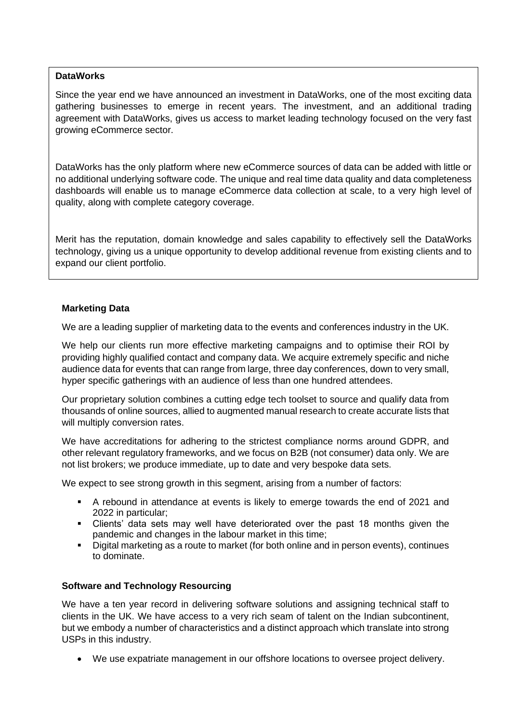#### **DataWorks**

Since the year end we have announced an investment in DataWorks, one of the most exciting data gathering businesses to emerge in recent years. The investment, and an additional trading agreement with DataWorks, gives us access to market leading technology focused on the very fast growing eCommerce sector.

DataWorks has the only platform where new eCommerce sources of data can be added with little or no additional underlying software code. The unique and real time data quality and data completeness dashboards will enable us to manage eCommerce data collection at scale, to a very high level of quality, along with complete category coverage.

Merit has the reputation, domain knowledge and sales capability to effectively sell the DataWorks technology, giving us a unique opportunity to develop additional revenue from existing clients and to expand our client portfolio.

### **Marketing Data**

We are a leading supplier of marketing data to the events and conferences industry in the UK.

We help our clients run more effective marketing campaigns and to optimise their ROI by providing highly qualified contact and company data. We acquire extremely specific and niche audience data for events that can range from large, three day conferences, down to very small, hyper specific gatherings with an audience of less than one hundred attendees.

Our proprietary solution combines a cutting edge tech toolset to source and qualify data from thousands of online sources, allied to augmented manual research to create accurate lists that will multiply conversion rates.

We have accreditations for adhering to the strictest compliance norms around GDPR, and other relevant regulatory frameworks, and we focus on B2B (not consumer) data only. We are not list brokers; we produce immediate, up to date and very bespoke data sets.

We expect to see strong growth in this segment, arising from a number of factors:

- A rebound in attendance at events is likely to emerge towards the end of 2021 and 2022 in particular;
- Clients' data sets may well have deteriorated over the past 18 months given the pandemic and changes in the labour market in this time;
- Digital marketing as a route to market (for both online and in person events), continues to dominate.

# **Software and Technology Resourcing**

We have a ten year record in delivering software solutions and assigning technical staff to clients in the UK. We have access to a very rich seam of talent on the Indian subcontinent, but we embody a number of characteristics and a distinct approach which translate into strong USPs in this industry.

• We use expatriate management in our offshore locations to oversee project delivery.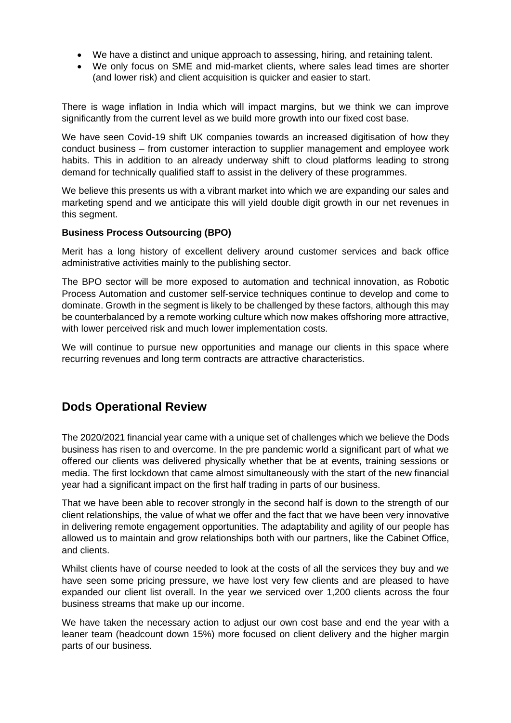- We have a distinct and unique approach to assessing, hiring, and retaining talent.
- We only focus on SME and mid-market clients, where sales lead times are shorter (and lower risk) and client acquisition is quicker and easier to start.

There is wage inflation in India which will impact margins, but we think we can improve significantly from the current level as we build more growth into our fixed cost base.

We have seen Covid-19 shift UK companies towards an increased digitisation of how they conduct business – from customer interaction to supplier management and employee work habits. This in addition to an already underway shift to cloud platforms leading to strong demand for technically qualified staff to assist in the delivery of these programmes.

We believe this presents us with a vibrant market into which we are expanding our sales and marketing spend and we anticipate this will yield double digit growth in our net revenues in this segment.

#### **Business Process Outsourcing (BPO)**

Merit has a long history of excellent delivery around customer services and back office administrative activities mainly to the publishing sector.

The BPO sector will be more exposed to automation and technical innovation, as Robotic Process Automation and customer self-service techniques continue to develop and come to dominate. Growth in the segment is likely to be challenged by these factors, although this may be counterbalanced by a remote working culture which now makes offshoring more attractive, with lower perceived risk and much lower implementation costs.

We will continue to pursue new opportunities and manage our clients in this space where recurring revenues and long term contracts are attractive characteristics.

# **Dods Operational Review**

The 2020/2021 financial year came with a unique set of challenges which we believe the Dods business has risen to and overcome. In the pre pandemic world a significant part of what we offered our clients was delivered physically whether that be at events, training sessions or media. The first lockdown that came almost simultaneously with the start of the new financial year had a significant impact on the first half trading in parts of our business.

That we have been able to recover strongly in the second half is down to the strength of our client relationships, the value of what we offer and the fact that we have been very innovative in delivering remote engagement opportunities. The adaptability and agility of our people has allowed us to maintain and grow relationships both with our partners, like the Cabinet Office, and clients.

Whilst clients have of course needed to look at the costs of all the services they buy and we have seen some pricing pressure, we have lost very few clients and are pleased to have expanded our client list overall. In the year we serviced over 1,200 clients across the four business streams that make up our income.

We have taken the necessary action to adjust our own cost base and end the year with a leaner team (headcount down 15%) more focused on client delivery and the higher margin parts of our business.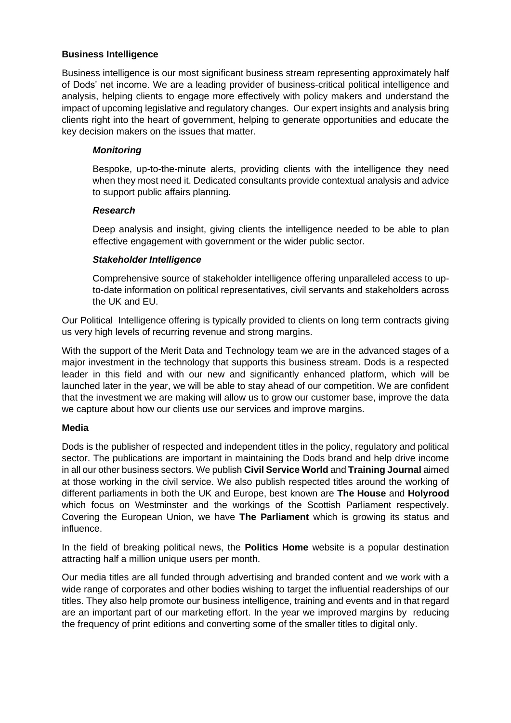#### **Business Intelligence**

Business intelligence is our most significant business stream representing approximately half of Dods' net income. We are a leading provider of business-critical political intelligence and analysis, helping clients to engage more effectively with policy makers and understand the impact of upcoming legislative and regulatory changes. Our expert insights and analysis bring clients right into the heart of government, helping to generate opportunities and educate the key decision makers on the issues that matter.

### *Monitoring*

Bespoke, up-to-the-minute alerts, providing clients with the intelligence they need when they most need it. Dedicated consultants provide contextual analysis and advice to support public affairs planning.

#### *Research*

Deep analysis and insight, giving clients the intelligence needed to be able to plan effective engagement with government or the wider public sector.

### *Stakeholder Intelligence*

Comprehensive source of stakeholder intelligence offering unparalleled access to upto-date information on political representatives, civil servants and stakeholders across the UK and EU.

Our Political Intelligence offering is typically provided to clients on long term contracts giving us very high levels of recurring revenue and strong margins.

With the support of the Merit Data and Technology team we are in the advanced stages of a major investment in the technology that supports this business stream. Dods is a respected leader in this field and with our new and significantly enhanced platform, which will be launched later in the year, we will be able to stay ahead of our competition. We are confident that the investment we are making will allow us to grow our customer base, improve the data we capture about how our clients use our services and improve margins.

#### **Media**

Dods is the publisher of respected and independent titles in the policy, regulatory and political sector. The publications are important in maintaining the Dods brand and help drive income in all our other business sectors. We publish **Civil Service World** and **Training Journal** aimed at those working in the civil service. We also publish respected titles around the working of different parliaments in both the UK and Europe, best known are **The House** and **Holyrood**  which focus on Westminster and the workings of the Scottish Parliament respectively. Covering the European Union, we have **The Parliament** which is growing its status and influence.

In the field of breaking political news, the **Politics Home** website is a popular destination attracting half a million unique users per month.

Our media titles are all funded through advertising and branded content and we work with a wide range of corporates and other bodies wishing to target the influential readerships of our titles. They also help promote our business intelligence, training and events and in that regard are an important part of our marketing effort. In the year we improved margins by reducing the frequency of print editions and converting some of the smaller titles to digital only.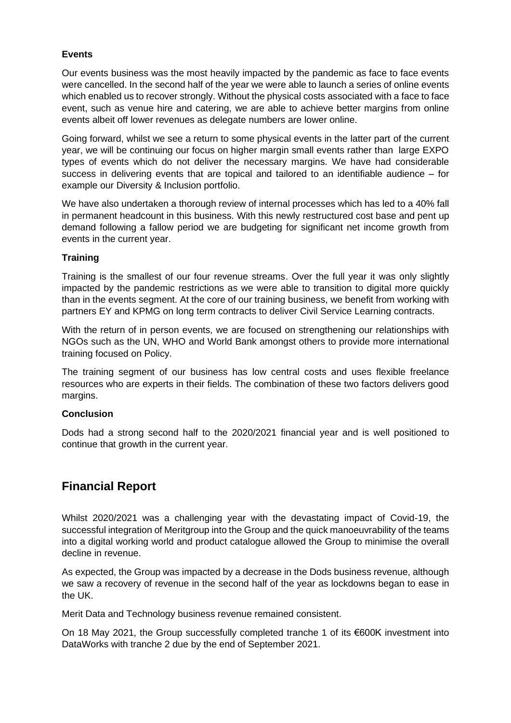# **Events**

Our events business was the most heavily impacted by the pandemic as face to face events were cancelled. In the second half of the year we were able to launch a series of online events which enabled us to recover strongly. Without the physical costs associated with a face to face event, such as venue hire and catering, we are able to achieve better margins from online events albeit off lower revenues as delegate numbers are lower online.

Going forward, whilst we see a return to some physical events in the latter part of the current year, we will be continuing our focus on higher margin small events rather than large EXPO types of events which do not deliver the necessary margins. We have had considerable success in delivering events that are topical and tailored to an identifiable audience – for example our Diversity & Inclusion portfolio.

We have also undertaken a thorough review of internal processes which has led to a 40% fall in permanent headcount in this business. With this newly restructured cost base and pent up demand following a fallow period we are budgeting for significant net income growth from events in the current year.

### **Training**

Training is the smallest of our four revenue streams. Over the full year it was only slightly impacted by the pandemic restrictions as we were able to transition to digital more quickly than in the events segment. At the core of our training business, we benefit from working with partners EY and KPMG on long term contracts to deliver Civil Service Learning contracts.

With the return of in person events, we are focused on strengthening our relationships with NGOs such as the UN, WHO and World Bank amongst others to provide more international training focused on Policy.

The training segment of our business has low central costs and uses flexible freelance resources who are experts in their fields. The combination of these two factors delivers good margins.

#### **Conclusion**

Dods had a strong second half to the 2020/2021 financial year and is well positioned to continue that growth in the current year.

# **Financial Report**

Whilst 2020/2021 was a challenging year with the devastating impact of Covid-19, the successful integration of Meritgroup into the Group and the quick manoeuvrability of the teams into a digital working world and product catalogue allowed the Group to minimise the overall decline in revenue.

As expected, the Group was impacted by a decrease in the Dods business revenue, although we saw a recovery of revenue in the second half of the year as lockdowns began to ease in the UK.

Merit Data and Technology business revenue remained consistent.

On 18 May 2021, the Group successfully completed tranche 1 of its €600K investment into DataWorks with tranche 2 due by the end of September 2021.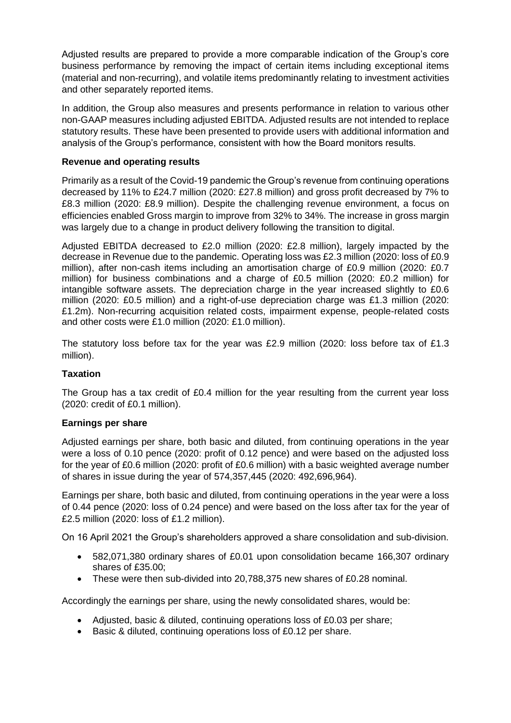Adjusted results are prepared to provide a more comparable indication of the Group's core business performance by removing the impact of certain items including exceptional items (material and non-recurring), and volatile items predominantly relating to investment activities and other separately reported items.

In addition, the Group also measures and presents performance in relation to various other non-GAAP measures including adjusted EBITDA. Adjusted results are not intended to replace statutory results. These have been presented to provide users with additional information and analysis of the Group's performance, consistent with how the Board monitors results.

### **Revenue and operating results**

Primarily as a result of the Covid-19 pandemic the Group's revenue from continuing operations decreased by 11% to £24.7 million (2020: £27.8 million) and gross profit decreased by 7% to £8.3 million (2020: £8.9 million). Despite the challenging revenue environment, a focus on efficiencies enabled Gross margin to improve from 32% to 34%. The increase in gross margin was largely due to a change in product delivery following the transition to digital.

Adjusted EBITDA decreased to £2.0 million (2020: £2.8 million), largely impacted by the decrease in Revenue due to the pandemic. Operating loss was £2.3 million (2020: loss of £0.9 million), after non-cash items including an amortisation charge of £0.9 million (2020: £0.7 million) for business combinations and a charge of £0.5 million (2020: £0.2 million) for intangible software assets. The depreciation charge in the year increased slightly to £0.6 million (2020: £0.5 million) and a right-of-use depreciation charge was £1.3 million (2020: £1.2m). Non-recurring acquisition related costs, impairment expense, people-related costs and other costs were £1.0 million (2020: £1.0 million).

The statutory loss before tax for the year was £2.9 million (2020: loss before tax of £1.3 million).

#### **Taxation**

The Group has a tax credit of £0.4 million for the year resulting from the current year loss (2020: credit of £0.1 million).

#### **Earnings per share**

Adjusted earnings per share, both basic and diluted, from continuing operations in the year were a loss of 0.10 pence (2020: profit of 0.12 pence) and were based on the adjusted loss for the year of £0.6 million (2020: profit of £0.6 million) with a basic weighted average number of shares in issue during the year of 574,357,445 (2020: 492,696,964).

Earnings per share, both basic and diluted, from continuing operations in the year were a loss of 0.44 pence (2020: loss of 0.24 pence) and were based on the loss after tax for the year of £2.5 million (2020: loss of £1.2 million).

On 16 April 2021 the Group's shareholders approved a share consolidation and sub-division.

- 582,071,380 ordinary shares of £0.01 upon consolidation became 166,307 ordinary shares of £35.00;
- These were then sub-divided into 20,788,375 new shares of £0.28 nominal.

Accordingly the earnings per share, using the newly consolidated shares, would be:

- Adjusted, basic & diluted, continuing operations loss of £0.03 per share;
- Basic & diluted, continuing operations loss of £0.12 per share.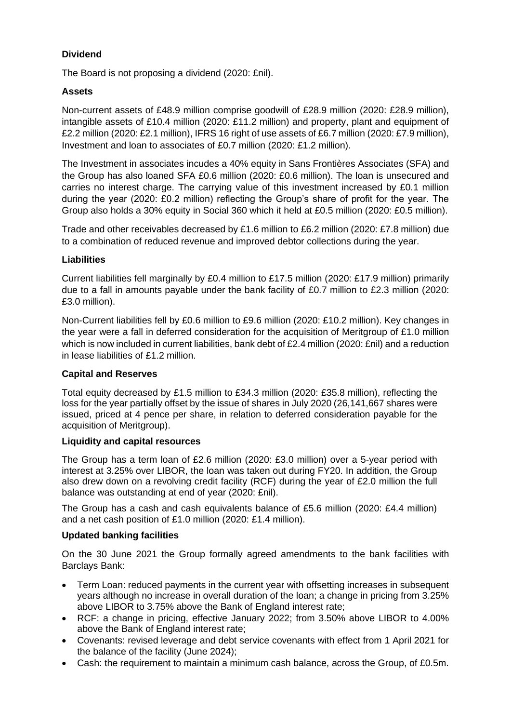# **Dividend**

The Board is not proposing a dividend (2020: £nil).

# **Assets**

Non-current assets of £48.9 million comprise goodwill of £28.9 million (2020: £28.9 million), intangible assets of £10.4 million (2020: £11.2 million) and property, plant and equipment of £2.2 million (2020: £2.1 million), IFRS 16 right of use assets of £6.7 million (2020: £7.9 million), Investment and loan to associates of £0.7 million (2020: £1.2 million).

The Investment in associates incudes a 40% equity in Sans Frontières Associates (SFA) and the Group has also loaned SFA £0.6 million (2020: £0.6 million). The loan is unsecured and carries no interest charge. The carrying value of this investment increased by £0.1 million during the year (2020: £0.2 million) reflecting the Group's share of profit for the year. The Group also holds a 30% equity in Social 360 which it held at £0.5 million (2020: £0.5 million).

Trade and other receivables decreased by £1.6 million to £6.2 million (2020: £7.8 million) due to a combination of reduced revenue and improved debtor collections during the year.

### **Liabilities**

Current liabilities fell marginally by £0.4 million to £17.5 million (2020: £17.9 million) primarily due to a fall in amounts payable under the bank facility of £0.7 million to £2.3 million (2020: £3.0 million).

Non-Current liabilities fell by £0.6 million to £9.6 million (2020: £10.2 million). Key changes in the year were a fall in deferred consideration for the acquisition of Meritgroup of £1.0 million which is now included in current liabilities, bank debt of £2.4 million (2020: £nil) and a reduction in lease liabilities of £1.2 million.

# **Capital and Reserves**

Total equity decreased by £1.5 million to £34.3 million (2020: £35.8 million), reflecting the loss for the year partially offset by the issue of shares in July 2020 (26,141,667 shares were issued, priced at 4 pence per share, in relation to deferred consideration payable for the acquisition of Meritgroup).

#### **Liquidity and capital resources**

The Group has a term loan of £2.6 million (2020: £3.0 million) over a 5-year period with interest at 3.25% over LIBOR, the loan was taken out during FY20. In addition, the Group also drew down on a revolving credit facility (RCF) during the year of £2.0 million the full balance was outstanding at end of year (2020: £nil).

The Group has a cash and cash equivalents balance of £5.6 million (2020: £4.4 million) and a net cash position of £1.0 million (2020: £1.4 million).

# **Updated banking facilities**

On the 30 June 2021 the Group formally agreed amendments to the bank facilities with Barclays Bank:

- Term Loan: reduced payments in the current year with offsetting increases in subsequent years although no increase in overall duration of the loan; a change in pricing from 3.25% above LIBOR to 3.75% above the Bank of England interest rate;
- RCF: a change in pricing, effective January 2022; from 3.50% above LIBOR to 4.00% above the Bank of England interest rate;
- Covenants: revised leverage and debt service covenants with effect from 1 April 2021 for the balance of the facility (June 2024);
- Cash: the requirement to maintain a minimum cash balance, across the Group, of £0.5m.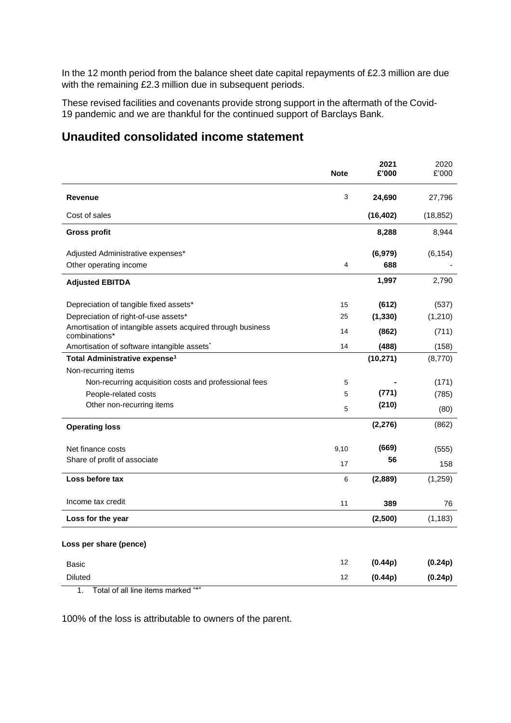In the 12 month period from the balance sheet date capital repayments of £2.3 million are due with the remaining £2.3 million due in subsequent periods.

These revised facilities and covenants provide strong support in the aftermath of the Covid-19 pandemic and we are thankful for the continued support of Barclays Bank.

# **Unaudited consolidated income statement**

|                                                                              | <b>Note</b> | 2021<br>£'000 | 2020<br>£'000 |
|------------------------------------------------------------------------------|-------------|---------------|---------------|
| <b>Revenue</b>                                                               | 3           | 24,690        | 27,796        |
| Cost of sales                                                                |             | (16, 402)     | (18, 852)     |
| <b>Gross profit</b>                                                          |             | 8,288         | 8,944         |
| Adjusted Administrative expenses*                                            |             | (6,979)       | (6, 154)      |
| Other operating income                                                       | 4           | 688           |               |
| <b>Adjusted EBITDA</b>                                                       |             | 1,997         | 2,790         |
| Depreciation of tangible fixed assets*                                       | 15          | (612)         | (537)         |
| Depreciation of right-of-use assets*                                         | 25          | (1, 330)      | (1,210)       |
| Amortisation of intangible assets acquired through business<br>combinations* | 14          | (862)         | (711)         |
| Amortisation of software intangible assets <sup>*</sup>                      | 14          | (488)         | (158)         |
| Total Administrative expense <sup>1</sup>                                    |             | (10, 271)     | (8,770)       |
| Non-recurring items                                                          |             |               |               |
| Non-recurring acquisition costs and professional fees                        | 5           |               | (171)         |
| People-related costs                                                         | 5           | (771)         | (785)         |
| Other non-recurring items                                                    | 5           | (210)         | (80)          |
| <b>Operating loss</b>                                                        |             | (2, 276)      | (862)         |
| Net finance costs                                                            | 9,10        | (669)         | (555)         |
| Share of profit of associate                                                 | 17          | 56            | 158           |
| Loss before tax                                                              | 6           | (2,889)       | (1,259)       |
| Income tax credit                                                            | 11          | 389           | 76            |
| Loss for the year                                                            |             | (2,500)       | (1, 183)      |
| Loss per share (pence)                                                       |             |               |               |
| Basic                                                                        | 12          | (0.44p)       | (0.24p)       |
| <b>Diluted</b>                                                               | 12          | (0.44p)       | (0.24p)       |

1. Total of all line items marked "\*"

100% of the loss is attributable to owners of the parent.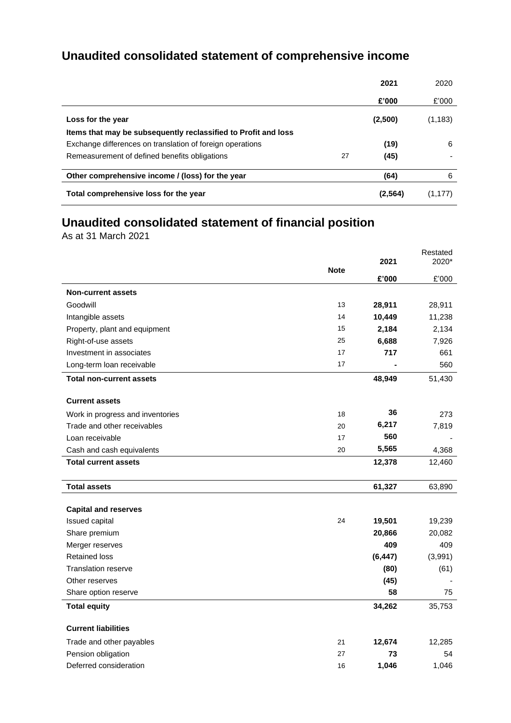# **Unaudited consolidated statement of comprehensive income**

|                                                                |    | 2021     | 2020     |
|----------------------------------------------------------------|----|----------|----------|
|                                                                |    | £'000    | £'000    |
| Loss for the year                                              |    | (2,500)  | (1, 183) |
| Items that may be subsequently reclassified to Profit and loss |    |          |          |
| Exchange differences on translation of foreign operations      |    | (19)     | 6        |
| Remeasurement of defined benefits obligations                  | 27 | (45)     |          |
| Other comprehensive income / (loss) for the year               |    | (64)     | 6        |
| Total comprehensive loss for the year                          |    | (2, 564) | (1.177)  |

# **Unaudited consolidated statement of financial position**

As at 31 March 2021

|                                  |             |          | Restated |
|----------------------------------|-------------|----------|----------|
|                                  | 2021        |          | 2020*    |
|                                  | <b>Note</b> | £'000    | £'000    |
| <b>Non-current assets</b>        |             |          |          |
| Goodwill                         | 13          | 28,911   | 28,911   |
| Intangible assets                | 14          | 10,449   | 11,238   |
| Property, plant and equipment    | 15          | 2,184    | 2,134    |
| Right-of-use assets              | 25          | 6,688    | 7,926    |
| Investment in associates         | 17          | 717      | 661      |
| Long-term loan receivable        | 17          |          | 560      |
| <b>Total non-current assets</b>  |             | 48,949   | 51,430   |
| <b>Current assets</b>            |             |          |          |
| Work in progress and inventories | 18          | 36       | 273      |
| Trade and other receivables      | 20          | 6,217    | 7,819    |
| Loan receivable                  | 17          | 560      |          |
| Cash and cash equivalents        | 20          | 5,565    | 4,368    |
| <b>Total current assets</b>      |             | 12,378   | 12,460   |
| <b>Total assets</b>              |             | 61,327   | 63,890   |
|                                  |             |          |          |
| <b>Capital and reserves</b>      |             |          |          |
| Issued capital                   | 24          | 19,501   | 19,239   |
| Share premium                    |             | 20,866   | 20,082   |
| Merger reserves                  |             | 409      | 409      |
| <b>Retained loss</b>             |             | (6, 447) | (3,991)  |
| <b>Translation reserve</b>       |             | (80)     | (61)     |
| Other reserves                   |             | (45)     |          |
| Share option reserve             |             | 58       | 75       |
| <b>Total equity</b>              |             | 34,262   | 35,753   |
| <b>Current liabilities</b>       |             |          |          |
| Trade and other payables         | 21          | 12,674   | 12,285   |
| Pension obligation               | 27          | 73       | 54       |
| Deferred consideration           | 16          | 1,046    | 1,046    |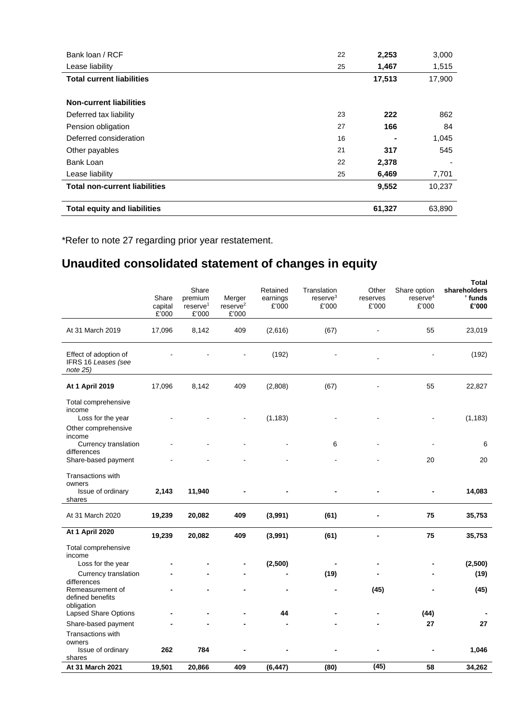| Bank loan / RCF                      | 22 | 2,253  | 3,000  |
|--------------------------------------|----|--------|--------|
| Lease liability                      | 25 | 1,467  | 1,515  |
| <b>Total current liabilities</b>     |    | 17,513 | 17,900 |
|                                      |    |        |        |
| <b>Non-current liabilities</b>       |    |        |        |
| Deferred tax liability               | 23 | 222    | 862    |
| Pension obligation                   | 27 | 166    | 84     |
| Deferred consideration               | 16 |        | 1,045  |
| Other payables                       | 21 | 317    | 545    |
| Bank Loan                            | 22 | 2,378  |        |
| Lease liability                      | 25 | 6,469  | 7,701  |
| <b>Total non-current liabilities</b> |    | 9,552  | 10,237 |
| <b>Total equity and liabilities</b>  |    | 61,327 | 63,890 |

\*Refer to note 27 regarding prior year restatement.

# **Unaudited consolidated statement of changes in equity**

|                                                                                     | Share<br>capital<br>E'000 | Share<br>premium<br>reserve <sup>1</sup><br>£'000 | Merger<br>reserve <sup>2</sup><br>£'000 | Retained<br>earnings<br>£'000 | Translation<br>$r$ eserve $3$<br>£'000 | Other<br>reserves<br>£'000 | Share option<br>reserve <sup>4</sup><br>£'000 | <b>Total</b><br>shareholders<br>' funds<br>£'000 |
|-------------------------------------------------------------------------------------|---------------------------|---------------------------------------------------|-----------------------------------------|-------------------------------|----------------------------------------|----------------------------|-----------------------------------------------|--------------------------------------------------|
| At 31 March 2019                                                                    | 17,096                    | 8,142                                             | 409                                     | (2,616)                       | (67)                                   |                            | 55                                            | 23,019                                           |
| Effect of adoption of<br>IFRS 16 Leases (see<br>note 25)                            |                           |                                                   |                                         | (192)                         |                                        |                            |                                               | (192)                                            |
| At 1 April 2019                                                                     | 17,096                    | 8,142                                             | 409                                     | (2,808)                       | (67)                                   |                            | 55                                            | 22,827                                           |
| Total comprehensive<br>income<br>Loss for the year<br>Other comprehensive<br>income |                           |                                                   |                                         | (1, 183)                      |                                        |                            |                                               | (1, 183)                                         |
| Currency translation<br>differences                                                 |                           |                                                   |                                         |                               | 6                                      |                            |                                               | 6                                                |
| Share-based payment                                                                 |                           |                                                   |                                         |                               |                                        |                            | 20                                            | 20                                               |
| Transactions with<br>owners<br>Issue of ordinary<br>shares                          | 2,143                     | 11,940                                            |                                         |                               |                                        |                            |                                               | 14,083                                           |
| At 31 March 2020                                                                    | 19,239                    | 20,082                                            | 409                                     | (3,991)                       | (61)                                   |                            | 75                                            | 35,753                                           |
| <b>At 1 April 2020</b>                                                              | 19,239                    | 20,082                                            | 409                                     | (3,991)                       | (61)                                   | $\blacksquare$             | 75                                            | 35,753                                           |
| Total comprehensive<br>income                                                       |                           |                                                   |                                         |                               |                                        |                            |                                               |                                                  |
| Loss for the year<br>Currency translation                                           |                           |                                                   |                                         | (2,500)                       | (19)                                   |                            |                                               | (2,500)<br>(19)                                  |
| differences<br>Remeasurement of<br>defined benefits<br>obligation                   |                           |                                                   |                                         |                               |                                        | (45)                       |                                               | (45)                                             |
| <b>Lapsed Share Options</b>                                                         |                           |                                                   |                                         | 44                            |                                        |                            | (44)                                          |                                                  |
| Share-based payment                                                                 |                           |                                                   |                                         |                               |                                        |                            | 27                                            | 27                                               |
| Transactions with<br>owners<br>Issue of ordinary<br>shares                          | 262                       | 784                                               |                                         |                               |                                        |                            |                                               | 1,046                                            |
| At 31 March 2021                                                                    | 19,501                    | 20,866                                            | 409                                     | (6, 447)                      | (80)                                   | (45)                       | 58                                            | 34,262                                           |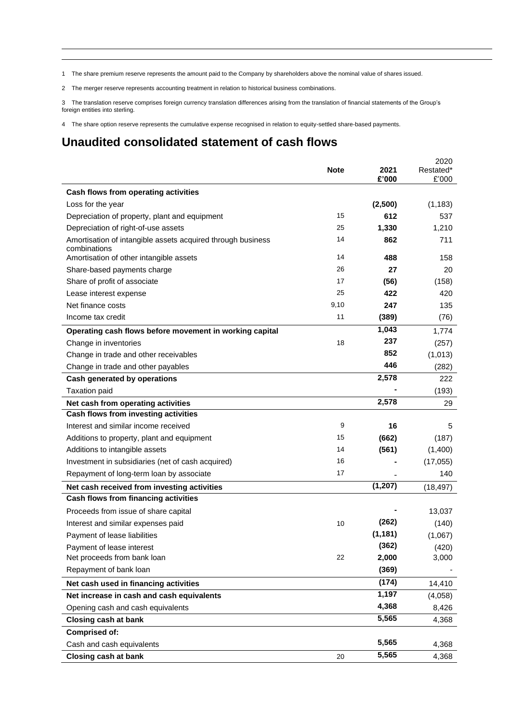1 The share premium reserve represents the amount paid to the Company by shareholders above the nominal value of shares issued.

2 The merger reserve represents accounting treatment in relation to historical business combinations.

3 The translation reserve comprises foreign currency translation differences arising from the translation of financial statements of the Group's foreign entities into sterling.

4 The share option reserve represents the cumulative expense recognised in relation to equity-settled share-based payments.

# **Unaudited consolidated statement of cash flows**

|                                                                                     | <b>Note</b> | 2021<br>£'000 | 2020<br>Restated*<br>£'000 |
|-------------------------------------------------------------------------------------|-------------|---------------|----------------------------|
| Cash flows from operating activities                                                |             |               |                            |
| Loss for the year                                                                   |             | (2,500)       | (1, 183)                   |
| Depreciation of property, plant and equipment                                       | 15          | 612           | 537                        |
| Depreciation of right-of-use assets                                                 | 25          | 1,330         | 1,210                      |
| Amortisation of intangible assets acquired through business                         | 14          | 862           | 711                        |
| combinations                                                                        |             |               |                            |
| Amortisation of other intangible assets                                             | 14<br>26    | 488           | 158                        |
| Share-based payments charge                                                         | 17          | 27            | 20                         |
| Share of profit of associate                                                        | 25          | (56)<br>422   | (158)<br>420               |
| Lease interest expense<br>Net finance costs                                         | 9,10        | 247           | 135                        |
| Income tax credit                                                                   | 11          | (389)         | (76)                       |
|                                                                                     |             | 1,043         |                            |
| Operating cash flows before movement in working capital                             |             | 237           | 1,774                      |
| Change in inventories                                                               | 18          | 852           | (257)                      |
| Change in trade and other receivables                                               |             | 446           | (1,013)                    |
| Change in trade and other payables                                                  |             | 2,578         | (282)                      |
| <b>Cash generated by operations</b>                                                 |             |               | 222                        |
| <b>Taxation paid</b>                                                                |             | 2,578         | (193)                      |
| Net cash from operating activities                                                  |             |               | 29                         |
| Cash flows from investing activities<br>Interest and similar income received        | 9           | 16            | 5                          |
|                                                                                     | 15          | (662)         | (187)                      |
| Additions to property, plant and equipment<br>Additions to intangible assets        | 14          | (561)         | (1,400)                    |
| Investment in subsidiaries (net of cash acquired)                                   | 16          |               | (17, 055)                  |
| Repayment of long-term loan by associate                                            | 17          |               | 140                        |
|                                                                                     |             | (1, 207)      |                            |
| Net cash received from investing activities<br>Cash flows from financing activities |             |               | (18, 497)                  |
|                                                                                     |             |               |                            |
| Proceeds from issue of share capital                                                | 10          | (262)         | 13,037<br>(140)            |
| Interest and similar expenses paid<br>Payment of lease liabilities                  |             | (1, 181)      | (1,067)                    |
| Payment of lease interest                                                           |             | (362)         | (420)                      |
| Net proceeds from bank loan                                                         | 22          | 2,000         | 3,000                      |
| Repayment of bank loan                                                              |             | (369)         |                            |
| Net cash used in financing activities                                               |             | (174)         | 14,410                     |
| Net increase in cash and cash equivalents                                           |             | 1,197         | (4,058)                    |
| Opening cash and cash equivalents                                                   |             | 4,368         | 8,426                      |
| Closing cash at bank                                                                |             | 5,565         | 4,368                      |
| <b>Comprised of:</b>                                                                |             |               |                            |
| Cash and cash equivalents                                                           |             | 5,565         | 4,368                      |
| <b>Closing cash at bank</b>                                                         | 20          | 5,565         | 4,368                      |
|                                                                                     |             |               |                            |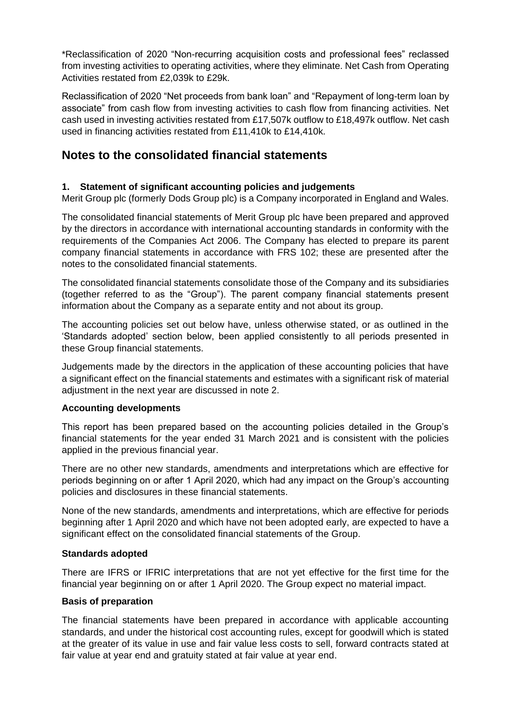\*Reclassification of 2020 "Non-recurring acquisition costs and professional fees" reclassed from investing activities to operating activities, where they eliminate. Net Cash from Operating Activities restated from £2,039k to £29k.

Reclassification of 2020 "Net proceeds from bank loan" and "Repayment of long-term loan by associate" from cash flow from investing activities to cash flow from financing activities. Net cash used in investing activities restated from £17,507k outflow to £18,497k outflow. Net cash used in financing activities restated from £11,410k to £14,410k.

# **Notes to the consolidated financial statements**

# **1. Statement of significant accounting policies and judgements**

Merit Group plc (formerly Dods Group plc) is a Company incorporated in England and Wales.

The consolidated financial statements of Merit Group plc have been prepared and approved by the directors in accordance with international accounting standards in conformity with the requirements of the Companies Act 2006. The Company has elected to prepare its parent company financial statements in accordance with FRS 102; these are presented after the notes to the consolidated financial statements.

The consolidated financial statements consolidate those of the Company and its subsidiaries (together referred to as the "Group"). The parent company financial statements present information about the Company as a separate entity and not about its group.

The accounting policies set out below have, unless otherwise stated, or as outlined in the 'Standards adopted' section below, been applied consistently to all periods presented in these Group financial statements.

Judgements made by the directors in the application of these accounting policies that have a significant effect on the financial statements and estimates with a significant risk of material adjustment in the next year are discussed in note 2.

#### **Accounting developments**

This report has been prepared based on the accounting policies detailed in the Group's financial statements for the year ended 31 March 2021 and is consistent with the policies applied in the previous financial year.

There are no other new standards, amendments and interpretations which are effective for periods beginning on or after 1 April 2020, which had any impact on the Group's accounting policies and disclosures in these financial statements.

None of the new standards, amendments and interpretations, which are effective for periods beginning after 1 April 2020 and which have not been adopted early, are expected to have a significant effect on the consolidated financial statements of the Group.

#### **Standards adopted**

There are IFRS or IFRIC interpretations that are not yet effective for the first time for the financial year beginning on or after 1 April 2020. The Group expect no material impact.

#### **Basis of preparation**

The financial statements have been prepared in accordance with applicable accounting standards, and under the historical cost accounting rules, except for goodwill which is stated at the greater of its value in use and fair value less costs to sell, forward contracts stated at fair value at year end and gratuity stated at fair value at year end.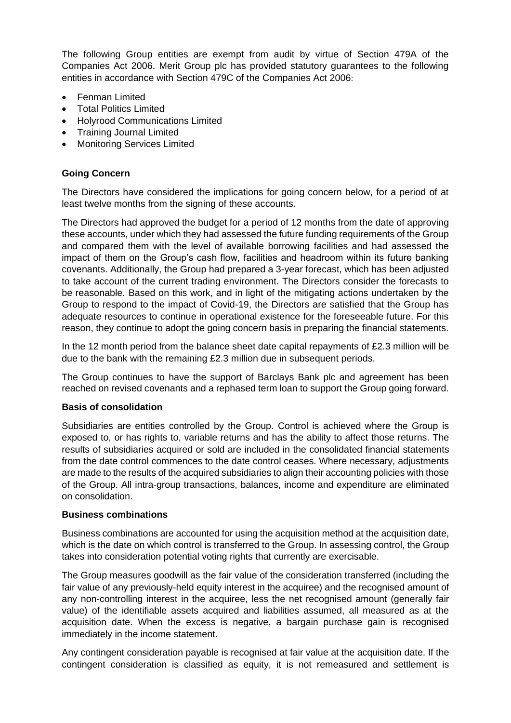The following Group entities are exempt from audit by virtue of Section 479A of the Companies Act 2006. Merit Group plc has provided statutory guarantees to the following entities in accordance with Section 479C of the Companies Act 2006:

- Fenman Limited
- Total Politics Limited
- Holyrood Communications Limited
- Training Journal Limited
- Monitoring Services Limited

### **Going Concern**

The Directors have considered the implications for going concern below, for a period of at least twelve months from the signing of these accounts.

The Directors had approved the budget for a period of 12 months from the date of approving these accounts, under which they had assessed the future funding requirements of the Group and compared them with the level of available borrowing facilities and had assessed the impact of them on the Group's cash flow, facilities and headroom within its future banking covenants. Additionally, the Group had prepared a 3-year forecast, which has been adjusted to take account of the current trading environment. The Directors consider the forecasts to be reasonable. Based on this work, and in light of the mitigating actions undertaken by the Group to respond to the impact of Covid-19, the Directors are satisfied that the Group has adequate resources to continue in operational existence for the foreseeable future. For this reason, they continue to adopt the going concern basis in preparing the financial statements.

In the 12 month period from the balance sheet date capital repayments of £2.3 million will be due to the bank with the remaining £2.3 million due in subsequent periods.

The Group continues to have the support of Barclays Bank plc and agreement has been reached on revised covenants and a rephased term loan to support the Group going forward.

#### **Basis of consolidation**

Subsidiaries are entities controlled by the Group. Control is achieved where the Group is exposed to, or has rights to, variable returns and has the ability to affect those returns. The results of subsidiaries acquired or sold are included in the consolidated financial statements from the date control commences to the date control ceases. Where necessary, adjustments are made to the results of the acquired subsidiaries to align their accounting policies with those of the Group. All intra-group transactions, balances, income and expenditure are eliminated on consolidation.

#### **Business combinations**

Business combinations are accounted for using the acquisition method at the acquisition date, which is the date on which control is transferred to the Group. In assessing control, the Group takes into consideration potential voting rights that currently are exercisable.

The Group measures goodwill as the fair value of the consideration transferred (including the fair value of any previously-held equity interest in the acquiree) and the recognised amount of any non-controlling interest in the acquiree, less the net recognised amount (generally fair value) of the identifiable assets acquired and liabilities assumed, all measured as at the acquisition date. When the excess is negative, a bargain purchase gain is recognised immediately in the income statement.

Any contingent consideration payable is recognised at fair value at the acquisition date. If the contingent consideration is classified as equity, it is not remeasured and settlement is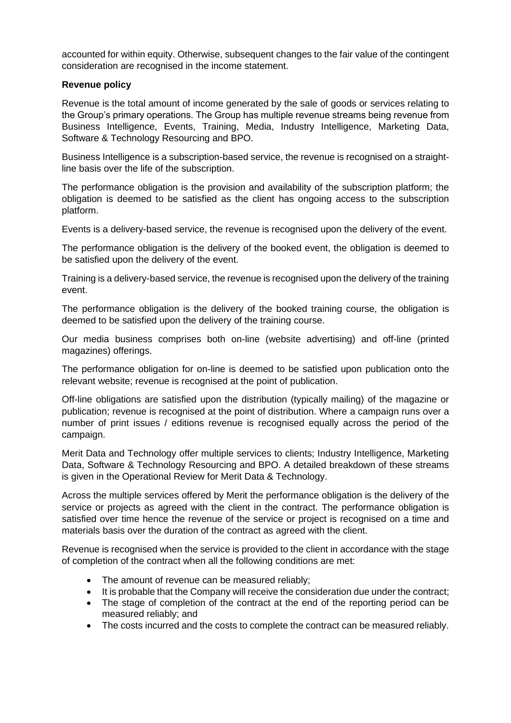accounted for within equity. Otherwise, subsequent changes to the fair value of the contingent consideration are recognised in the income statement.

#### **Revenue policy**

Revenue is the total amount of income generated by the sale of goods or services relating to the Group's primary operations. The Group has multiple revenue streams being revenue from Business Intelligence, Events, Training, Media, Industry Intelligence, Marketing Data, Software & Technology Resourcing and BPO.

Business Intelligence is a subscription-based service, the revenue is recognised on a straightline basis over the life of the subscription.

The performance obligation is the provision and availability of the subscription platform; the obligation is deemed to be satisfied as the client has ongoing access to the subscription platform.

Events is a delivery-based service, the revenue is recognised upon the delivery of the event.

The performance obligation is the delivery of the booked event, the obligation is deemed to be satisfied upon the delivery of the event.

Training is a delivery-based service, the revenue is recognised upon the delivery of the training event.

The performance obligation is the delivery of the booked training course, the obligation is deemed to be satisfied upon the delivery of the training course.

Our media business comprises both on-line (website advertising) and off-line (printed magazines) offerings.

The performance obligation for on-line is deemed to be satisfied upon publication onto the relevant website; revenue is recognised at the point of publication.

Off-line obligations are satisfied upon the distribution (typically mailing) of the magazine or publication; revenue is recognised at the point of distribution. Where a campaign runs over a number of print issues / editions revenue is recognised equally across the period of the campaign.

Merit Data and Technology offer multiple services to clients; Industry Intelligence, Marketing Data, Software & Technology Resourcing and BPO. A detailed breakdown of these streams is given in the Operational Review for Merit Data & Technology.

Across the multiple services offered by Merit the performance obligation is the delivery of the service or projects as agreed with the client in the contract. The performance obligation is satisfied over time hence the revenue of the service or project is recognised on a time and materials basis over the duration of the contract as agreed with the client.

Revenue is recognised when the service is provided to the client in accordance with the stage of completion of the contract when all the following conditions are met:

- The amount of revenue can be measured reliably;
- It is probable that the Company will receive the consideration due under the contract;
- The stage of completion of the contract at the end of the reporting period can be measured reliably; and
- The costs incurred and the costs to complete the contract can be measured reliably.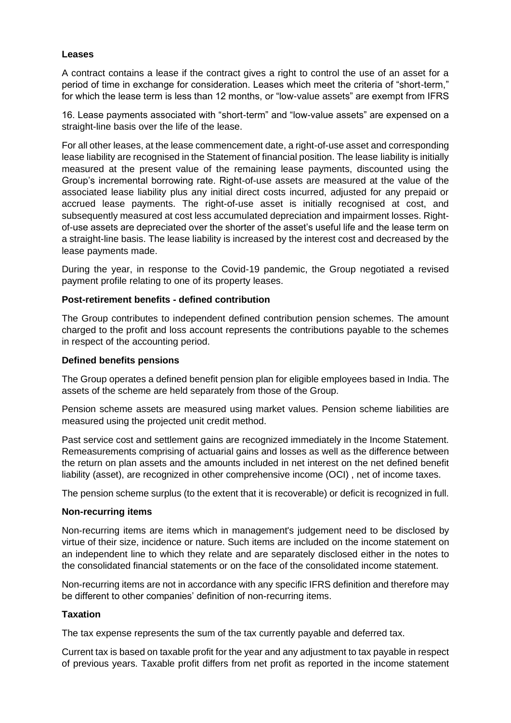#### **Leases**

A contract contains a lease if the contract gives a right to control the use of an asset for a period of time in exchange for consideration. Leases which meet the criteria of "short-term," for which the lease term is less than 12 months, or "low-value assets" are exempt from IFRS

16. Lease payments associated with "short-term" and "low-value assets" are expensed on a straight-line basis over the life of the lease.

For all other leases, at the lease commencement date, a right-of-use asset and corresponding lease liability are recognised in the Statement of financial position. The lease liability is initially measured at the present value of the remaining lease payments, discounted using the Group's incremental borrowing rate. Right-of-use assets are measured at the value of the associated lease liability plus any initial direct costs incurred, adjusted for any prepaid or accrued lease payments. The right-of-use asset is initially recognised at cost, and subsequently measured at cost less accumulated depreciation and impairment losses. Rightof-use assets are depreciated over the shorter of the asset's useful life and the lease term on a straight-line basis. The lease liability is increased by the interest cost and decreased by the lease payments made.

During the year, in response to the Covid-19 pandemic, the Group negotiated a revised payment profile relating to one of its property leases.

#### **Post-retirement benefits - defined contribution**

The Group contributes to independent defined contribution pension schemes. The amount charged to the profit and loss account represents the contributions payable to the schemes in respect of the accounting period.

#### **Defined benefits pensions**

The Group operates a defined benefit pension plan for eligible employees based in India. The assets of the scheme are held separately from those of the Group.

Pension scheme assets are measured using market values. Pension scheme liabilities are measured using the projected unit credit method.

Past service cost and settlement gains are recognized immediately in the Income Statement. Remeasurements comprising of actuarial gains and losses as well as the difference between the return on plan assets and the amounts included in net interest on the net defined benefit liability (asset), are recognized in other comprehensive income (OCI) , net of income taxes.

The pension scheme surplus (to the extent that it is recoverable) or deficit is recognized in full.

#### **Non-recurring items**

Non-recurring items are items which in management's judgement need to be disclosed by virtue of their size, incidence or nature. Such items are included on the income statement on an independent line to which they relate and are separately disclosed either in the notes to the consolidated financial statements or on the face of the consolidated income statement.

Non-recurring items are not in accordance with any specific IFRS definition and therefore may be different to other companies' definition of non-recurring items.

#### **Taxation**

The tax expense represents the sum of the tax currently payable and deferred tax.

Current tax is based on taxable profit for the year and any adjustment to tax payable in respect of previous years. Taxable profit differs from net profit as reported in the income statement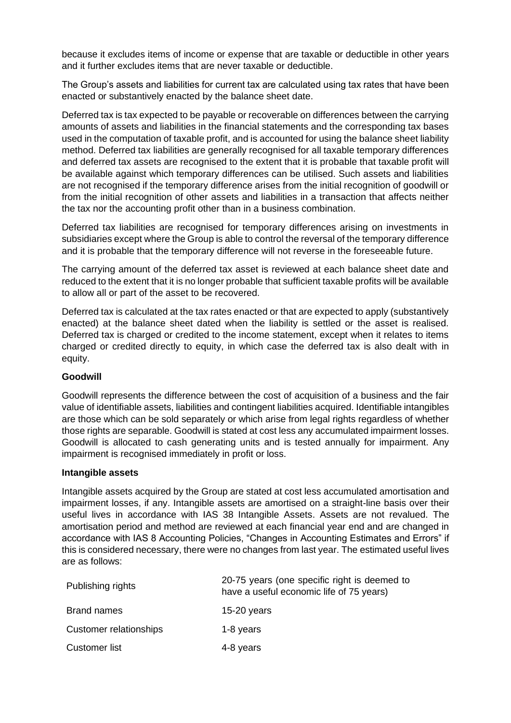because it excludes items of income or expense that are taxable or deductible in other years and it further excludes items that are never taxable or deductible.

The Group's assets and liabilities for current tax are calculated using tax rates that have been enacted or substantively enacted by the balance sheet date.

Deferred tax is tax expected to be payable or recoverable on differences between the carrying amounts of assets and liabilities in the financial statements and the corresponding tax bases used in the computation of taxable profit, and is accounted for using the balance sheet liability method. Deferred tax liabilities are generally recognised for all taxable temporary differences and deferred tax assets are recognised to the extent that it is probable that taxable profit will be available against which temporary differences can be utilised. Such assets and liabilities are not recognised if the temporary difference arises from the initial recognition of goodwill or from the initial recognition of other assets and liabilities in a transaction that affects neither the tax nor the accounting profit other than in a business combination.

Deferred tax liabilities are recognised for temporary differences arising on investments in subsidiaries except where the Group is able to control the reversal of the temporary difference and it is probable that the temporary difference will not reverse in the foreseeable future.

The carrying amount of the deferred tax asset is reviewed at each balance sheet date and reduced to the extent that it is no longer probable that sufficient taxable profits will be available to allow all or part of the asset to be recovered.

Deferred tax is calculated at the tax rates enacted or that are expected to apply (substantively enacted) at the balance sheet dated when the liability is settled or the asset is realised. Deferred tax is charged or credited to the income statement, except when it relates to items charged or credited directly to equity, in which case the deferred tax is also dealt with in equity.

#### **Goodwill**

Goodwill represents the difference between the cost of acquisition of a business and the fair value of identifiable assets, liabilities and contingent liabilities acquired. Identifiable intangibles are those which can be sold separately or which arise from legal rights regardless of whether those rights are separable. Goodwill is stated at cost less any accumulated impairment losses. Goodwill is allocated to cash generating units and is tested annually for impairment. Any impairment is recognised immediately in profit or loss.

#### **Intangible assets**

Intangible assets acquired by the Group are stated at cost less accumulated amortisation and impairment losses, if any. Intangible assets are amortised on a straight-line basis over their useful lives in accordance with IAS 38 Intangible Assets. Assets are not revalued. The amortisation period and method are reviewed at each financial year end and are changed in accordance with IAS 8 Accounting Policies, "Changes in Accounting Estimates and Errors" if this is considered necessary, there were no changes from last year. The estimated useful lives are as follows:

| Publishing rights      | 20-75 years (one specific right is deemed to<br>have a useful economic life of 75 years) |  |  |  |
|------------------------|------------------------------------------------------------------------------------------|--|--|--|
| Brand names            | 15-20 years                                                                              |  |  |  |
| Customer relationships | 1-8 years                                                                                |  |  |  |
| <b>Customer list</b>   | 4-8 years                                                                                |  |  |  |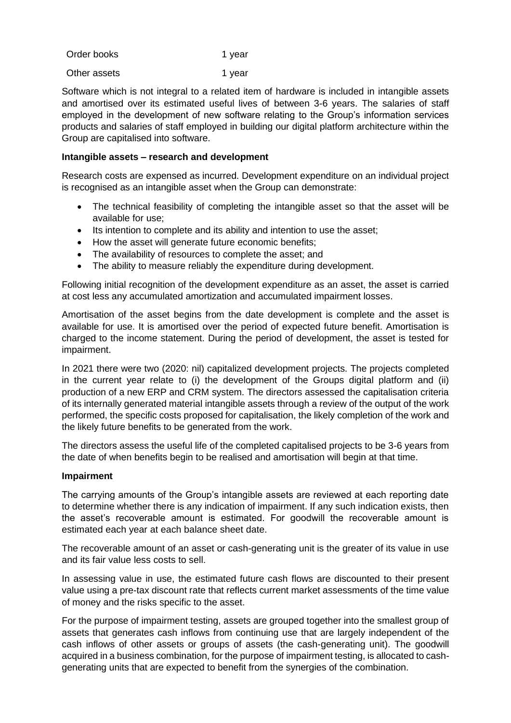| Order books | 1 year |
|-------------|--------|
|             |        |

Other assets 1 year

Software which is not integral to a related item of hardware is included in intangible assets and amortised over its estimated useful lives of between 3-6 years. The salaries of staff employed in the development of new software relating to the Group's information services products and salaries of staff employed in building our digital platform architecture within the Group are capitalised into software.

#### **Intangible assets – research and development**

Research costs are expensed as incurred. Development expenditure on an individual project is recognised as an intangible asset when the Group can demonstrate:

- The technical feasibility of completing the intangible asset so that the asset will be available for use;
- Its intention to complete and its ability and intention to use the asset;
- How the asset will generate future economic benefits;
- The availability of resources to complete the asset; and
- The ability to measure reliably the expenditure during development.

Following initial recognition of the development expenditure as an asset, the asset is carried at cost less any accumulated amortization and accumulated impairment losses.

Amortisation of the asset begins from the date development is complete and the asset is available for use. It is amortised over the period of expected future benefit. Amortisation is charged to the income statement. During the period of development, the asset is tested for impairment.

In 2021 there were two (2020: nil) capitalized development projects. The projects completed in the current year relate to (i) the development of the Groups digital platform and (ii) production of a new ERP and CRM system. The directors assessed the capitalisation criteria of its internally generated material intangible assets through a review of the output of the work performed, the specific costs proposed for capitalisation, the likely completion of the work and the likely future benefits to be generated from the work.

The directors assess the useful life of the completed capitalised projects to be 3-6 years from the date of when benefits begin to be realised and amortisation will begin at that time.

#### **Impairment**

The carrying amounts of the Group's intangible assets are reviewed at each reporting date to determine whether there is any indication of impairment. If any such indication exists, then the asset's recoverable amount is estimated. For goodwill the recoverable amount is estimated each year at each balance sheet date.

The recoverable amount of an asset or cash-generating unit is the greater of its value in use and its fair value less costs to sell.

In assessing value in use, the estimated future cash flows are discounted to their present value using a pre-tax discount rate that reflects current market assessments of the time value of money and the risks specific to the asset.

For the purpose of impairment testing, assets are grouped together into the smallest group of assets that generates cash inflows from continuing use that are largely independent of the cash inflows of other assets or groups of assets (the cash-generating unit). The goodwill acquired in a business combination, for the purpose of impairment testing, is allocated to cashgenerating units that are expected to benefit from the synergies of the combination.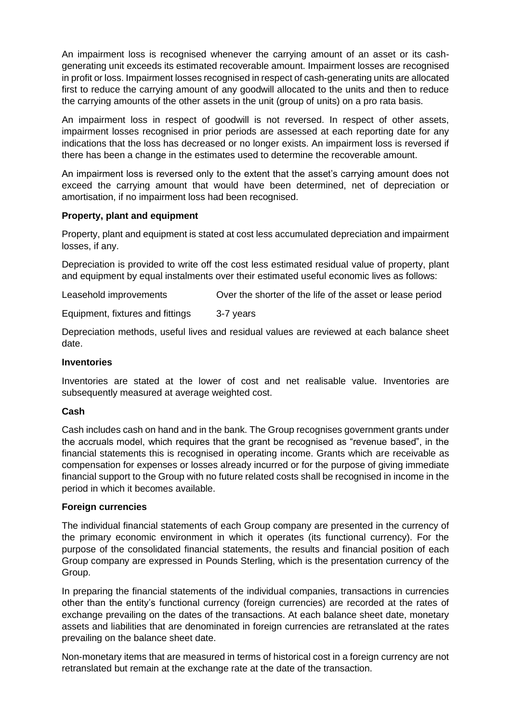An impairment loss is recognised whenever the carrying amount of an asset or its cashgenerating unit exceeds its estimated recoverable amount. Impairment losses are recognised in profit or loss. Impairment losses recognised in respect of cash-generating units are allocated first to reduce the carrying amount of any goodwill allocated to the units and then to reduce the carrying amounts of the other assets in the unit (group of units) on a pro rata basis.

An impairment loss in respect of goodwill is not reversed. In respect of other assets, impairment losses recognised in prior periods are assessed at each reporting date for any indications that the loss has decreased or no longer exists. An impairment loss is reversed if there has been a change in the estimates used to determine the recoverable amount.

An impairment loss is reversed only to the extent that the asset's carrying amount does not exceed the carrying amount that would have been determined, net of depreciation or amortisation, if no impairment loss had been recognised.

#### **Property, plant and equipment**

Property, plant and equipment is stated at cost less accumulated depreciation and impairment losses, if any.

Depreciation is provided to write off the cost less estimated residual value of property, plant and equipment by equal instalments over their estimated useful economic lives as follows:

Leasehold improvements Over the shorter of the life of the asset or lease period

Equipment, fixtures and fittings 3-7 years

Depreciation methods, useful lives and residual values are reviewed at each balance sheet date.

#### **Inventories**

Inventories are stated at the lower of cost and net realisable value. Inventories are subsequently measured at average weighted cost.

#### **Cash**

Cash includes cash on hand and in the bank. The Group recognises government grants under the accruals model, which requires that the grant be recognised as "revenue based", in the financial statements this is recognised in operating income. Grants which are receivable as compensation for expenses or losses already incurred or for the purpose of giving immediate financial support to the Group with no future related costs shall be recognised in income in the period in which it becomes available.

#### **Foreign currencies**

The individual financial statements of each Group company are presented in the currency of the primary economic environment in which it operates (its functional currency). For the purpose of the consolidated financial statements, the results and financial position of each Group company are expressed in Pounds Sterling, which is the presentation currency of the Group.

In preparing the financial statements of the individual companies, transactions in currencies other than the entity's functional currency (foreign currencies) are recorded at the rates of exchange prevailing on the dates of the transactions. At each balance sheet date, monetary assets and liabilities that are denominated in foreign currencies are retranslated at the rates prevailing on the balance sheet date.

Non-monetary items that are measured in terms of historical cost in a foreign currency are not retranslated but remain at the exchange rate at the date of the transaction.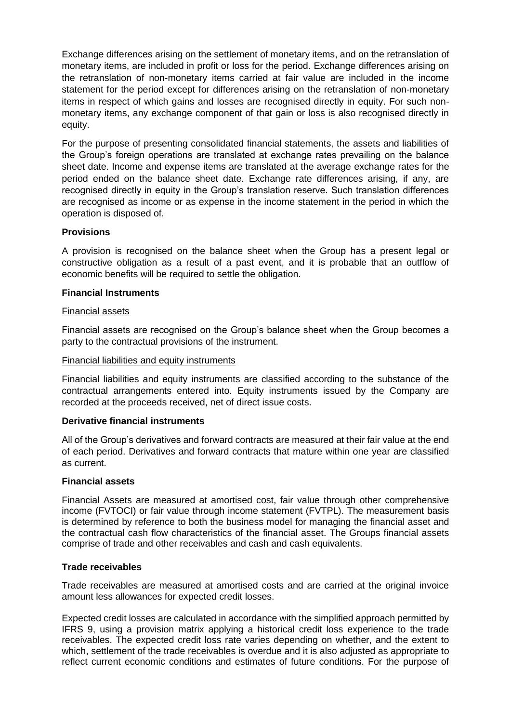Exchange differences arising on the settlement of monetary items, and on the retranslation of monetary items, are included in profit or loss for the period. Exchange differences arising on the retranslation of non-monetary items carried at fair value are included in the income statement for the period except for differences arising on the retranslation of non-monetary items in respect of which gains and losses are recognised directly in equity. For such nonmonetary items, any exchange component of that gain or loss is also recognised directly in equity.

For the purpose of presenting consolidated financial statements, the assets and liabilities of the Group's foreign operations are translated at exchange rates prevailing on the balance sheet date. Income and expense items are translated at the average exchange rates for the period ended on the balance sheet date. Exchange rate differences arising, if any, are recognised directly in equity in the Group's translation reserve. Such translation differences are recognised as income or as expense in the income statement in the period in which the operation is disposed of.

### **Provisions**

A provision is recognised on the balance sheet when the Group has a present legal or constructive obligation as a result of a past event, and it is probable that an outflow of economic benefits will be required to settle the obligation.

### **Financial Instruments**

#### Financial assets

Financial assets are recognised on the Group's balance sheet when the Group becomes a party to the contractual provisions of the instrument.

#### Financial liabilities and equity instruments

Financial liabilities and equity instruments are classified according to the substance of the contractual arrangements entered into. Equity instruments issued by the Company are recorded at the proceeds received, net of direct issue costs.

#### **Derivative financial instruments**

All of the Group's derivatives and forward contracts are measured at their fair value at the end of each period. Derivatives and forward contracts that mature within one year are classified as current.

#### **Financial assets**

Financial Assets are measured at amortised cost, fair value through other comprehensive income (FVTOCI) or fair value through income statement (FVTPL). The measurement basis is determined by reference to both the business model for managing the financial asset and the contractual cash flow characteristics of the financial asset. The Groups financial assets comprise of trade and other receivables and cash and cash equivalents.

#### **Trade receivables**

Trade receivables are measured at amortised costs and are carried at the original invoice amount less allowances for expected credit losses.

Expected credit losses are calculated in accordance with the simplified approach permitted by IFRS 9, using a provision matrix applying a historical credit loss experience to the trade receivables. The expected credit loss rate varies depending on whether, and the extent to which, settlement of the trade receivables is overdue and it is also adjusted as appropriate to reflect current economic conditions and estimates of future conditions. For the purpose of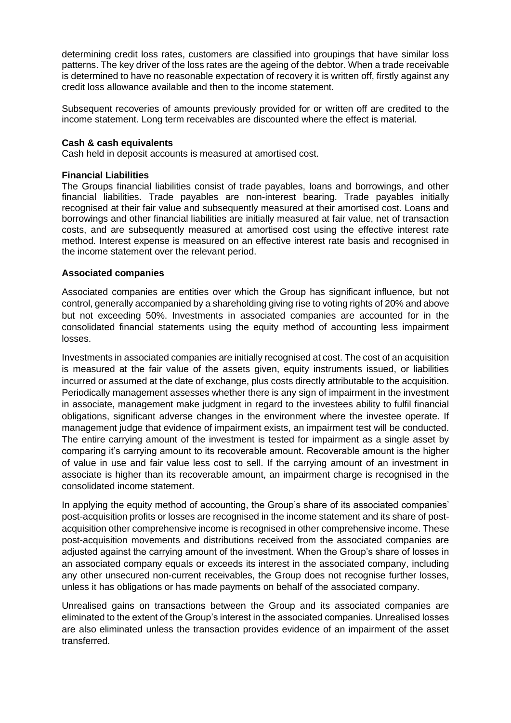determining credit loss rates, customers are classified into groupings that have similar loss patterns. The key driver of the loss rates are the ageing of the debtor. When a trade receivable is determined to have no reasonable expectation of recovery it is written off, firstly against any credit loss allowance available and then to the income statement.

Subsequent recoveries of amounts previously provided for or written off are credited to the income statement. Long term receivables are discounted where the effect is material.

#### **Cash & cash equivalents**

Cash held in deposit accounts is measured at amortised cost.

#### **Financial Liabilities**

The Groups financial liabilities consist of trade payables, loans and borrowings, and other financial liabilities. Trade payables are non-interest bearing. Trade payables initially recognised at their fair value and subsequently measured at their amortised cost. Loans and borrowings and other financial liabilities are initially measured at fair value, net of transaction costs, and are subsequently measured at amortised cost using the effective interest rate method. Interest expense is measured on an effective interest rate basis and recognised in the income statement over the relevant period.

#### **Associated companies**

Associated companies are entities over which the Group has significant influence, but not control, generally accompanied by a shareholding giving rise to voting rights of 20% and above but not exceeding 50%. Investments in associated companies are accounted for in the consolidated financial statements using the equity method of accounting less impairment losses.

Investments in associated companies are initially recognised at cost. The cost of an acquisition is measured at the fair value of the assets given, equity instruments issued, or liabilities incurred or assumed at the date of exchange, plus costs directly attributable to the acquisition. Periodically management assesses whether there is any sign of impairment in the investment in associate, management make judgment in regard to the investees ability to fulfil financial obligations, significant adverse changes in the environment where the investee operate. If management judge that evidence of impairment exists, an impairment test will be conducted. The entire carrying amount of the investment is tested for impairment as a single asset by comparing it's carrying amount to its recoverable amount. Recoverable amount is the higher of value in use and fair value less cost to sell. If the carrying amount of an investment in associate is higher than its recoverable amount, an impairment charge is recognised in the consolidated income statement.

In applying the equity method of accounting, the Group's share of its associated companies' post-acquisition profits or losses are recognised in the income statement and its share of postacquisition other comprehensive income is recognised in other comprehensive income. These post-acquisition movements and distributions received from the associated companies are adjusted against the carrying amount of the investment. When the Group's share of losses in an associated company equals or exceeds its interest in the associated company, including any other unsecured non-current receivables, the Group does not recognise further losses, unless it has obligations or has made payments on behalf of the associated company.

Unrealised gains on transactions between the Group and its associated companies are eliminated to the extent of the Group's interest in the associated companies. Unrealised losses are also eliminated unless the transaction provides evidence of an impairment of the asset transferred.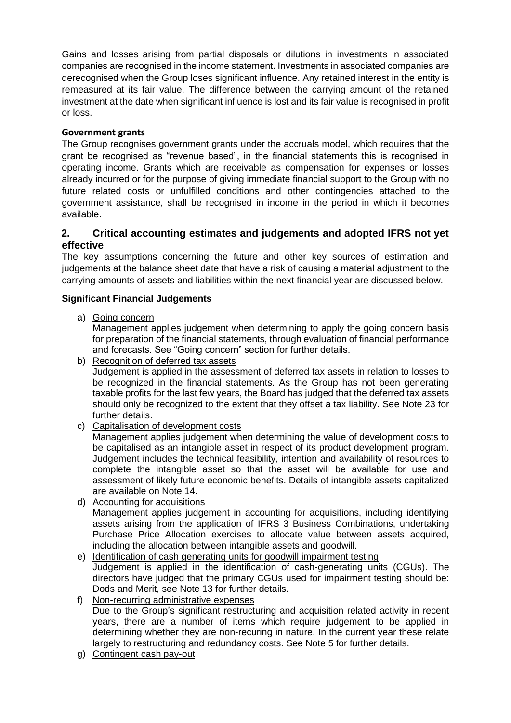Gains and losses arising from partial disposals or dilutions in investments in associated companies are recognised in the income statement. Investments in associated companies are derecognised when the Group loses significant influence. Any retained interest in the entity is remeasured at its fair value. The difference between the carrying amount of the retained investment at the date when significant influence is lost and its fair value is recognised in profit or loss.

# **Government grants**

The Group recognises government grants under the accruals model, which requires that the grant be recognised as "revenue based", in the financial statements this is recognised in operating income. Grants which are receivable as compensation for expenses or losses already incurred or for the purpose of giving immediate financial support to the Group with no future related costs or unfulfilled conditions and other contingencies attached to the government assistance, shall be recognised in income in the period in which it becomes available.

# **2. Critical accounting estimates and judgements and adopted IFRS not yet effective**

The key assumptions concerning the future and other key sources of estimation and judgements at the balance sheet date that have a risk of causing a material adjustment to the carrying amounts of assets and liabilities within the next financial year are discussed below.

# **Significant Financial Judgements**

a) Going concern

Management applies judgement when determining to apply the going concern basis for preparation of the financial statements, through evaluation of financial performance and forecasts. See "Going concern" section for further details.

b) Recognition of deferred tax assets

Judgement is applied in the assessment of deferred tax assets in relation to losses to be recognized in the financial statements. As the Group has not been generating taxable profits for the last few years, the Board has judged that the deferred tax assets should only be recognized to the extent that they offset a tax liability. See Note 23 for further details.

c) Capitalisation of development costs

Management applies judgement when determining the value of development costs to be capitalised as an intangible asset in respect of its product development program. Judgement includes the technical feasibility, intention and availability of resources to complete the intangible asset so that the asset will be available for use and assessment of likely future economic benefits. Details of intangible assets capitalized are available on Note 14.

- d) Accounting for acquisitions Management applies judgement in accounting for acquisitions, including identifying assets arising from the application of IFRS 3 Business Combinations, undertaking Purchase Price Allocation exercises to allocate value between assets acquired, including the allocation between intangible assets and goodwill.
- e) Identification of cash generating units for goodwill impairment testing Judgement is applied in the identification of cash-generating units (CGUs). The directors have judged that the primary CGUs used for impairment testing should be: Dods and Merit, see Note 13 for further details.
- f) Non-recurring administrative expenses

Due to the Group's significant restructuring and acquisition related activity in recent years, there are a number of items which require judgement to be applied in determining whether they are non-recuring in nature. In the current year these relate largely to restructuring and redundancy costs. See Note 5 for further details.

g) Contingent cash pay-out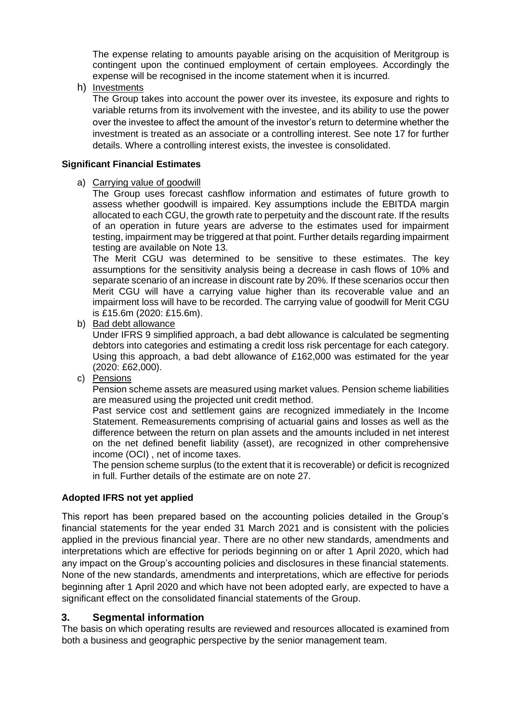The expense relating to amounts payable arising on the acquisition of Meritgroup is contingent upon the continued employment of certain employees. Accordingly the expense will be recognised in the income statement when it is incurred.

h) Investments

The Group takes into account the power over its investee, its exposure and rights to variable returns from its involvement with the investee, and its ability to use the power over the investee to affect the amount of the investor's return to determine whether the investment is treated as an associate or a controlling interest. See note 17 for further details. Where a controlling interest exists, the investee is consolidated.

#### **Significant Financial Estimates**

#### a) Carrying value of goodwill

The Group uses forecast cashflow information and estimates of future growth to assess whether goodwill is impaired. Key assumptions include the EBITDA margin allocated to each CGU, the growth rate to perpetuity and the discount rate. If the results of an operation in future years are adverse to the estimates used for impairment testing, impairment may be triggered at that point. Further details regarding impairment testing are available on Note 13.

The Merit CGU was determined to be sensitive to these estimates. The key assumptions for the sensitivity analysis being a decrease in cash flows of 10% and separate scenario of an increase in discount rate by 20%. If these scenarios occur then Merit CGU will have a carrying value higher than its recoverable value and an impairment loss will have to be recorded. The carrying value of goodwill for Merit CGU is £15.6m (2020: £15.6m).

b) Bad debt allowance

Under IFRS 9 simplified approach, a bad debt allowance is calculated be segmenting debtors into categories and estimating a credit loss risk percentage for each category. Using this approach, a bad debt allowance of £162,000 was estimated for the year (2020: £62,000).

c) Pensions

Pension scheme assets are measured using market values. Pension scheme liabilities are measured using the projected unit credit method.

Past service cost and settlement gains are recognized immediately in the Income Statement. Remeasurements comprising of actuarial gains and losses as well as the difference between the return on plan assets and the amounts included in net interest on the net defined benefit liability (asset), are recognized in other comprehensive income (OCI) , net of income taxes.

The pension scheme surplus (to the extent that it is recoverable) or deficit is recognized in full. Further details of the estimate are on note 27.

# **Adopted IFRS not yet applied**

This report has been prepared based on the accounting policies detailed in the Group's financial statements for the year ended 31 March 2021 and is consistent with the policies applied in the previous financial year. There are no other new standards, amendments and interpretations which are effective for periods beginning on or after 1 April 2020, which had any impact on the Group's accounting policies and disclosures in these financial statements. None of the new standards, amendments and interpretations, which are effective for periods beginning after 1 April 2020 and which have not been adopted early, are expected to have a significant effect on the consolidated financial statements of the Group.

# **3. Segmental information**

The basis on which operating results are reviewed and resources allocated is examined from both a business and geographic perspective by the senior management team.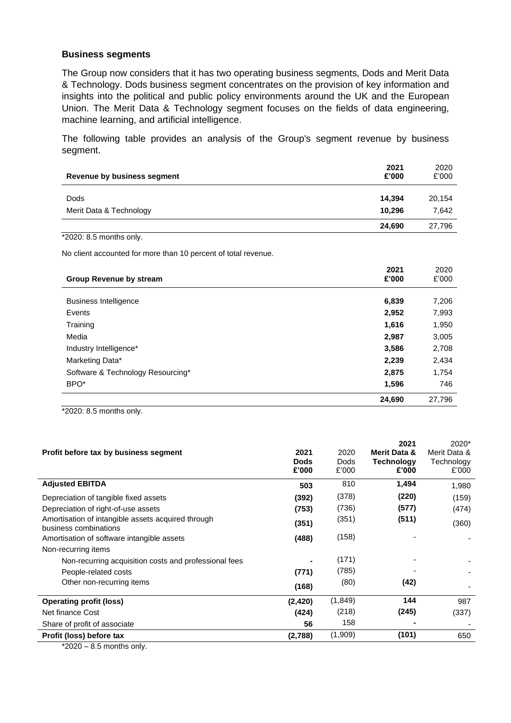#### **Business segments**

The Group now considers that it has two operating business segments, Dods and Merit Data & Technology. Dods business segment concentrates on the provision of key information and insights into the political and public policy environments around the UK and the European Union. The Merit Data & Technology segment focuses on the fields of data engineering, machine learning, and artificial intelligence.

The following table provides an analysis of the Group's segment revenue by business segment.

| *2020: 8.5 months only.                                        |               |               |
|----------------------------------------------------------------|---------------|---------------|
|                                                                | 24,690        | 27,796        |
| BPO <sup>*</sup>                                               | 1,596         | 746           |
| Software & Technology Resourcing*                              | 2,875         | 1,754         |
| Marketing Data*                                                | 2,239         | 2,434         |
| Industry Intelligence*                                         | 3,586         | 2,708         |
| Media                                                          | 2,987         | 3,005         |
| Training                                                       | 1,616         | 1,950         |
| Events                                                         | 2,952         | 7,993         |
| <b>Business Intelligence</b>                                   | 6,839         | 7,206         |
| <b>Group Revenue by stream</b>                                 | 2021<br>£'000 | 2020<br>£'000 |
| No client accounted for more than 10 percent of total revenue. |               |               |
| *2020: 8.5 months only.                                        |               |               |
|                                                                | 24,690        | 27,796        |
| Merit Data & Technology                                        | 10,296        | 7,642         |
| Dods                                                           | 14,394        | 20,154        |
| Revenue by business segment                                    | 2021<br>£'000 | 2020<br>£'000 |

| Profit before tax by business segment                                       | 2021<br><b>Dods</b><br>£'000 | 2020<br><b>Dods</b><br>£'000 | 2021<br><b>Merit Data &amp;</b><br><b>Technology</b><br>£'000 | 2020*<br>Merit Data &<br>Technology<br>£'000 |
|-----------------------------------------------------------------------------|------------------------------|------------------------------|---------------------------------------------------------------|----------------------------------------------|
| <b>Adjusted EBITDA</b>                                                      | 503                          | 810                          | 1,494                                                         | 1,980                                        |
| Depreciation of tangible fixed assets                                       | (392)                        | (378)                        | (220)                                                         | (159)                                        |
| Depreciation of right-of-use assets                                         | (753)                        | (736)                        | (577)                                                         | (474)                                        |
| Amortisation of intangible assets acquired through<br>business combinations | (351)                        | (351)                        | (511)                                                         | (360)                                        |
| Amortisation of software intangible assets                                  | (488)                        | (158)                        |                                                               |                                              |
| Non-recurring items                                                         |                              |                              |                                                               |                                              |
| Non-recurring acquisition costs and professional fees                       |                              | (171)                        |                                                               |                                              |
| People-related costs                                                        | (771)                        | (785)                        |                                                               |                                              |
| Other non-recurring items                                                   | (168)                        | (80)                         | (42)                                                          |                                              |
| <b>Operating profit (loss)</b>                                              | (2, 420)                     | (1,849)                      | 144                                                           | 987                                          |
| Net finance Cost                                                            | (424)                        | (218)                        | (245)                                                         | (337)                                        |
| Share of profit of associate                                                | 56                           | 158                          |                                                               |                                              |
| Profit (loss) before tax                                                    | (2,788)                      | (1,909)                      | (101)                                                         | 650                                          |

 $*2020 - 8.5$  months only.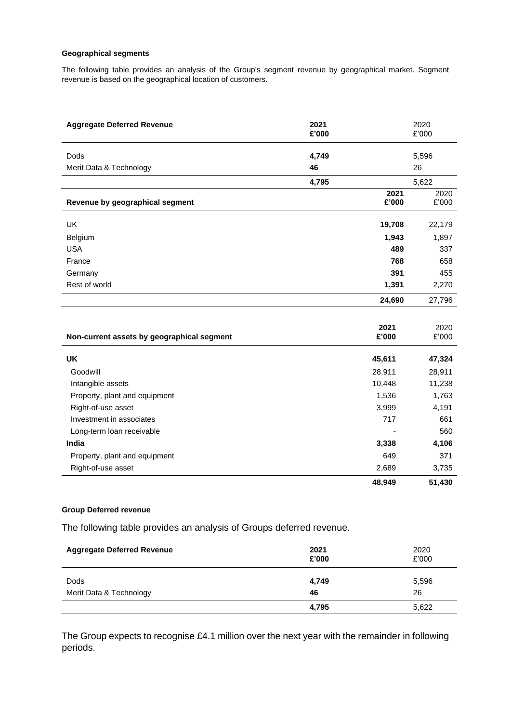#### **Geographical segments**

The following table provides an analysis of the Group's segment revenue by geographical market. Segment revenue is based on the geographical location of customers.

| <b>Aggregate Deferred Revenue</b>          | 2021<br>£'000 |               | 2020<br>£'000 |
|--------------------------------------------|---------------|---------------|---------------|
| <b>Dods</b>                                | 4,749         |               | 5,596         |
| Merit Data & Technology                    | 46            |               | 26            |
|                                            | 4,795         |               | 5,622         |
| Revenue by geographical segment            |               | 2021<br>£'000 | 2020<br>£'000 |
| UK                                         |               | 19,708        | 22,179        |
| Belgium                                    |               | 1,943         | 1,897         |
| <b>USA</b>                                 |               | 489           | 337           |
| France                                     |               | 768           | 658           |
| Germany                                    |               | 391           | 455           |
| Rest of world                              |               | 1,391         | 2,270         |
|                                            |               | 24,690        | 27,796        |
|                                            |               |               |               |
| Non-current assets by geographical segment |               | 2021<br>£'000 | 2020<br>£'000 |
| <b>UK</b>                                  |               | 45,611        | 47,324        |
| Goodwill                                   |               | 28,911        | 28,911        |
| Intangible assets                          |               | 10,448        | 11,238        |
| Property, plant and equipment              |               | 1,536         | 1,763         |
| Right-of-use asset                         |               | 3,999         | 4,191         |
| Investment in associates                   |               | 717           | 661           |
| Long-term loan receivable                  |               |               | 560           |
| India                                      |               | 3,338         | 4,106         |
| Property, plant and equipment              |               | 649           | 371           |
| Right-of-use asset                         |               | 2,689         | 3,735         |
|                                            |               | 48,949        | 51,430        |

#### **Group Deferred revenue**

The following table provides an analysis of Groups deferred revenue.

| <b>Aggregate Deferred Revenue</b>      | 2021<br>£'000 | 2020<br>£'000 |
|----------------------------------------|---------------|---------------|
| <b>Dods</b><br>Merit Data & Technology | 4,749<br>46   | 5,596<br>26   |
|                                        | 4,795         | 5,622         |

The Group expects to recognise £4.1 million over the next year with the remainder in following periods.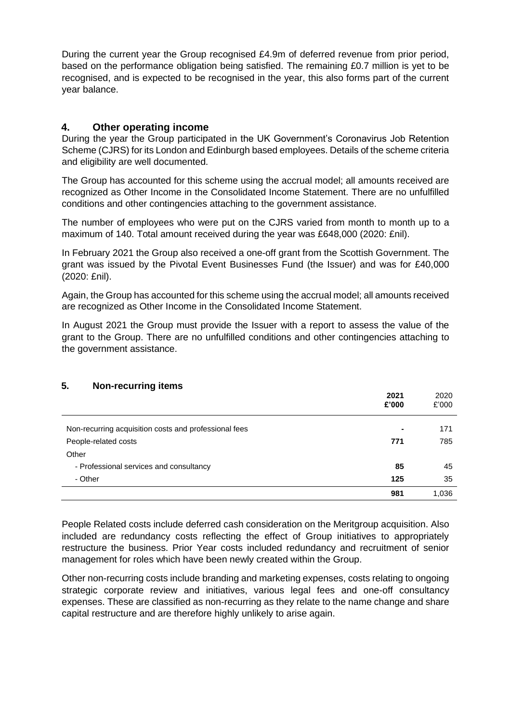During the current year the Group recognised £4.9m of deferred revenue from prior period, based on the performance obligation being satisfied. The remaining £0.7 million is yet to be recognised, and is expected to be recognised in the year, this also forms part of the current year balance.

# **4. Other operating income**

During the year the Group participated in the UK Government's Coronavirus Job Retention Scheme (CJRS) for its London and Edinburgh based employees. Details of the scheme criteria and eligibility are well documented.

The Group has accounted for this scheme using the accrual model; all amounts received are recognized as Other Income in the Consolidated Income Statement. There are no unfulfilled conditions and other contingencies attaching to the government assistance.

The number of employees who were put on the CJRS varied from month to month up to a maximum of 140. Total amount received during the year was £648,000 (2020: £nil).

In February 2021 the Group also received a one-off grant from the Scottish Government. The grant was issued by the Pivotal Event Businesses Fund (the Issuer) and was for £40,000 (2020: £nil).

Again, the Group has accounted for this scheme using the accrual model; all amounts received are recognized as Other Income in the Consolidated Income Statement.

In August 2021 the Group must provide the Issuer with a report to assess the value of the grant to the Group. There are no unfulfilled conditions and other contingencies attaching to the government assistance.

### **5. Non-recurring items**

| -                                                     | 2021<br>£'000  | 2020<br>£'000 |
|-------------------------------------------------------|----------------|---------------|
| Non-recurring acquisition costs and professional fees | $\blacksquare$ | 171           |
| People-related costs                                  | 771            | 785           |
| Other                                                 |                |               |
| - Professional services and consultancy               | 85             | 45            |
| - Other                                               | 125            | 35            |
|                                                       | 981            | 1,036         |

People Related costs include deferred cash consideration on the Meritgroup acquisition. Also included are redundancy costs reflecting the effect of Group initiatives to appropriately restructure the business. Prior Year costs included redundancy and recruitment of senior management for roles which have been newly created within the Group.

Other non-recurring costs include branding and marketing expenses, costs relating to ongoing strategic corporate review and initiatives, various legal fees and one-off consultancy expenses. These are classified as non-recurring as they relate to the name change and share capital restructure and are therefore highly unlikely to arise again.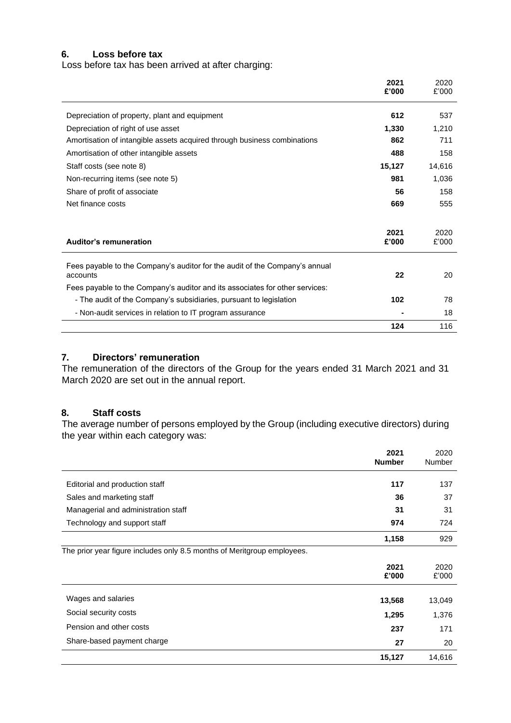#### **6. Loss before tax**

Loss before tax has been arrived at after charging:

|                                                                                         | 2021<br>£'000 | 2020<br>£'000 |
|-----------------------------------------------------------------------------------------|---------------|---------------|
| Depreciation of property, plant and equipment                                           | 612           | 537           |
| Depreciation of right of use asset                                                      | 1,330         | 1,210         |
| Amortisation of intangible assets acquired through business combinations                | 862           | 711           |
| Amortisation of other intangible assets                                                 | 488           | 158           |
| Staff costs (see note 8)                                                                | 15,127        | 14,616        |
| Non-recurring items (see note 5)                                                        | 981           | 1,036         |
| Share of profit of associate                                                            | 56            | 158           |
| Net finance costs                                                                       | 669           | 555           |
|                                                                                         | 2021          | 2020          |
| Auditor's remuneration                                                                  | £'000         | £'000         |
| Fees payable to the Company's auditor for the audit of the Company's annual<br>accounts | 22            | 20            |
| Fees payable to the Company's auditor and its associates for other services:            |               |               |
| - The audit of the Company's subsidiaries, pursuant to legislation                      | 102           | 78            |
| - Non-audit services in relation to IT program assurance                                |               | 18            |
|                                                                                         | 124           | 116           |

# **7. Directors' remuneration**

The remuneration of the directors of the Group for the years ended 31 March 2021 and 31 March 2020 are set out in the annual report.

#### **8. Staff costs**

The average number of persons employed by the Group (including executive directors) during the year within each category was:

|                                                                         | 2021<br><b>Number</b> | 2020<br><b>Number</b> |
|-------------------------------------------------------------------------|-----------------------|-----------------------|
| Editorial and production staff                                          | 117                   | 137                   |
| Sales and marketing staff                                               | 36                    | 37                    |
| Managerial and administration staff                                     | 31                    | 31                    |
| Technology and support staff                                            | 974                   | 724                   |
|                                                                         | 1,158                 | 929                   |
| The prior year figure includes only 8.5 months of Meritgroup employees. |                       |                       |
|                                                                         | 2021<br>£'000         | 2020<br>£'000         |
| Wages and salaries                                                      | 13,568                | 13,049                |
| Social security costs                                                   | 1,295                 | 1,376                 |
| Pension and other costs                                                 | 237                   | 171                   |
| Share-based payment charge                                              | 27                    | 20                    |
|                                                                         | 15,127                | 14,616                |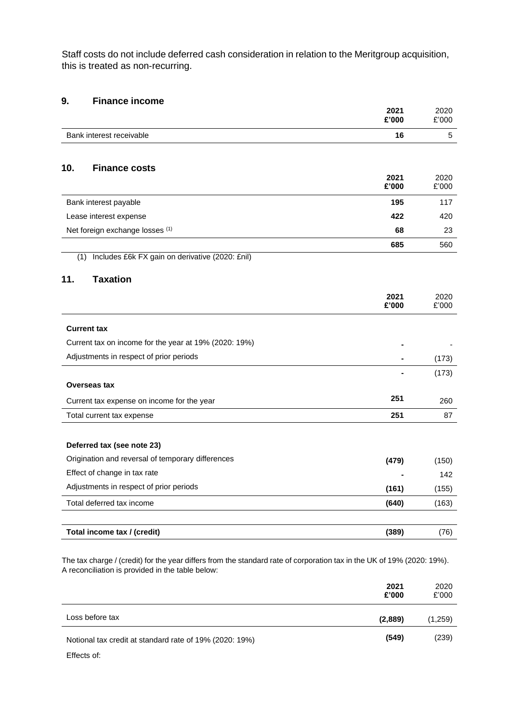Staff costs do not include deferred cash consideration in relation to the Meritgroup acquisition, this is treated as non-recurring.

# **9. Finance income**

|                    |                                                       | 2021<br>£'000 | 2020<br>£'000 |
|--------------------|-------------------------------------------------------|---------------|---------------|
|                    | Bank interest receivable                              | 16            | 5             |
|                    |                                                       |               |               |
| 10.                | <b>Finance costs</b>                                  | 2021          | 2020          |
|                    |                                                       | £'000         | £'000         |
|                    | Bank interest payable                                 | 195           | 117           |
|                    | Lease interest expense                                | 422           | 420           |
|                    | Net foreign exchange losses (1)                       | 68            | 23            |
|                    |                                                       | 685           | 560           |
| (1)                | Includes £6k FX gain on derivative (2020: £nil)       |               |               |
| 11.                | <b>Taxation</b>                                       |               |               |
|                    |                                                       | 2021<br>£'000 | 2020<br>£'000 |
|                    |                                                       |               |               |
| <b>Current tax</b> |                                                       |               |               |
|                    | Current tax on income for the year at 19% (2020: 19%) |               |               |
|                    | Adjustments in respect of prior periods               |               | (173)         |
|                    |                                                       |               | (173)         |
| Overseas tax       |                                                       |               |               |
|                    | Current tax expense on income for the year            | 251           | 260           |
|                    | Total current tax expense                             | 251           | 87            |
|                    |                                                       |               |               |
|                    | Deferred tax (see note 23)                            |               |               |
|                    | Origination and reversal of temporary differences     | (479)         | (150)         |
|                    | Effect of change in tax rate                          |               | 142           |
|                    | Adjustments in respect of prior periods               | (161)         | (155)         |
|                    | Total deferred tax income                             | (640)         | (163)         |
|                    |                                                       |               |               |
|                    | Total income tax / (credit)                           | (389)         | (76)          |

The tax charge / (credit) for the year differs from the standard rate of corporation tax in the UK of 19% (2020: 19%). A reconciliation is provided in the table below:

|                                                         | 2021<br>£'000 | 2020<br>£'000 |
|---------------------------------------------------------|---------------|---------------|
| Loss before tax                                         | (2,889)       | (1,259)       |
| Notional tax credit at standard rate of 19% (2020: 19%) | (549)         | (239)         |

Effects of: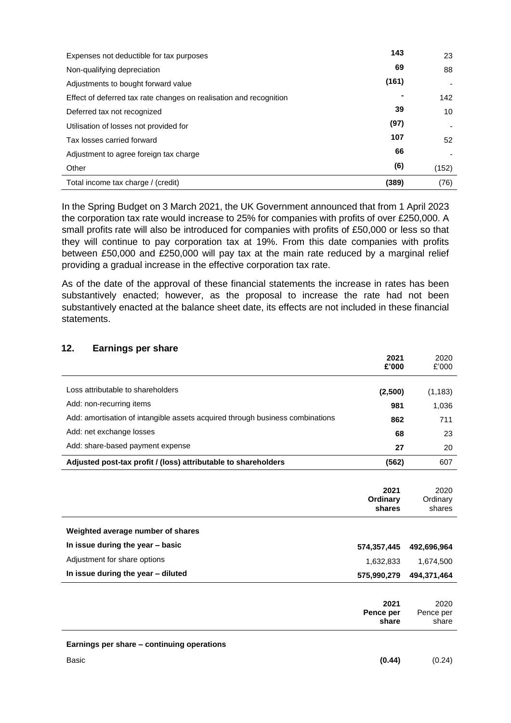| Expenses not deductible for tax purposes                           | 143   | 23    |
|--------------------------------------------------------------------|-------|-------|
| Non-qualifying depreciation                                        | 69    | 88    |
| Adjustments to bought forward value                                | (161) |       |
| Effect of deferred tax rate changes on realisation and recognition |       | 142   |
| Deferred tax not recognized                                        | 39    | 10    |
| Utilisation of losses not provided for                             | (97)  |       |
| Tax losses carried forward                                         | 107   | 52    |
| Adjustment to agree foreign tax charge                             | 66    |       |
| Other                                                              | (6)   | (152) |
| Total income tax charge / (credit)                                 | (389) | (76)  |

In the Spring Budget on 3 March 2021, the UK Government announced that from 1 April 2023 the corporation tax rate would increase to 25% for companies with profits of over £250,000. A small profits rate will also be introduced for companies with profits of £50,000 or less so that they will continue to pay corporation tax at 19%. From this date companies with profits between £50,000 and £250,000 will pay tax at the main rate reduced by a marginal relief providing a gradual increase in the effective corporation tax rate.

As of the date of the approval of these financial statements the increase in rates has been substantively enacted; however, as the proposal to increase the rate had not been substantively enacted at the balance sheet date, its effects are not included in these financial statements.

| 12.<br><b>Earnings per share</b>                                              |                            |                            |
|-------------------------------------------------------------------------------|----------------------------|----------------------------|
|                                                                               | 2021<br>£'000              | 2020<br>£'000              |
| Loss attributable to shareholders                                             | (2,500)                    | (1, 183)                   |
| Add: non-recurring items                                                      | 981                        | 1,036                      |
| Add: amortisation of intangible assets acquired through business combinations | 862                        | 711                        |
| Add: net exchange losses                                                      | 68                         | 23                         |
| Add: share-based payment expense                                              | 27                         | 20                         |
| Adjusted post-tax profit / (loss) attributable to shareholders                | (562)                      | 607                        |
|                                                                               |                            |                            |
|                                                                               | 2021<br>Ordinary<br>shares | 2020<br>Ordinary<br>shares |
| Weighted average number of shares                                             |                            |                            |
| In issue during the year - basic                                              | 574,357,445                | 492,696,964                |
| Adjustment for share options                                                  | 1,632,833                  | 1,674,500                  |
|                                                                               |                            | 494,371,464                |

|                                            | 2021<br>Pence per<br>share | 2020<br>Pence per<br>share |
|--------------------------------------------|----------------------------|----------------------------|
| Earnings per share – continuing operations |                            |                            |
| Basic                                      | (0.44)                     | (0.24)                     |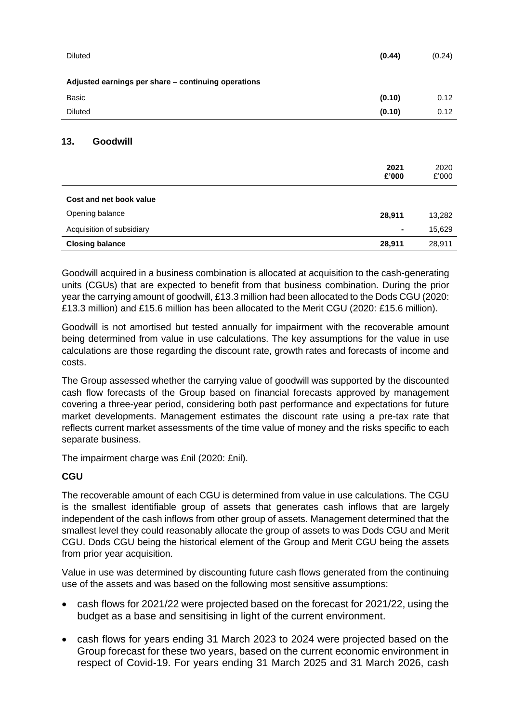| <b>Diluted</b>                                      | (0.44)         | (0.24)        |
|-----------------------------------------------------|----------------|---------------|
| Adjusted earnings per share - continuing operations |                |               |
| Basic                                               | (0.10)         | 0.12          |
| <b>Diluted</b>                                      | (0.10)         | 0.12          |
| 13.<br>Goodwill                                     | 2021<br>£'000  | 2020<br>£'000 |
| Cost and net book value                             |                |               |
| Opening balance                                     | 28,911         | 13,282        |
| Acquisition of subsidiary                           | $\blacksquare$ | 15,629        |

Goodwill acquired in a business combination is allocated at acquisition to the cash-generating units (CGUs) that are expected to benefit from that business combination. During the prior year the carrying amount of goodwill, £13.3 million had been allocated to the Dods CGU (2020: £13.3 million) and £15.6 million has been allocated to the Merit CGU (2020: £15.6 million).

**Closing balance 28,911** 28,911

Goodwill is not amortised but tested annually for impairment with the recoverable amount being determined from value in use calculations. The key assumptions for the value in use calculations are those regarding the discount rate, growth rates and forecasts of income and costs.

The Group assessed whether the carrying value of goodwill was supported by the discounted cash flow forecasts of the Group based on financial forecasts approved by management covering a three-year period, considering both past performance and expectations for future market developments. Management estimates the discount rate using a pre-tax rate that reflects current market assessments of the time value of money and the risks specific to each separate business.

The impairment charge was £nil (2020: £nil).

# **CGU**

The recoverable amount of each CGU is determined from value in use calculations. The CGU is the smallest identifiable group of assets that generates cash inflows that are largely independent of the cash inflows from other group of assets. Management determined that the smallest level they could reasonably allocate the group of assets to was Dods CGU and Merit CGU. Dods CGU being the historical element of the Group and Merit CGU being the assets from prior year acquisition.

Value in use was determined by discounting future cash flows generated from the continuing use of the assets and was based on the following most sensitive assumptions:

- cash flows for 2021/22 were projected based on the forecast for 2021/22, using the budget as a base and sensitising in light of the current environment.
- cash flows for years ending 31 March 2023 to 2024 were projected based on the Group forecast for these two years, based on the current economic environment in respect of Covid-19. For years ending 31 March 2025 and 31 March 2026, cash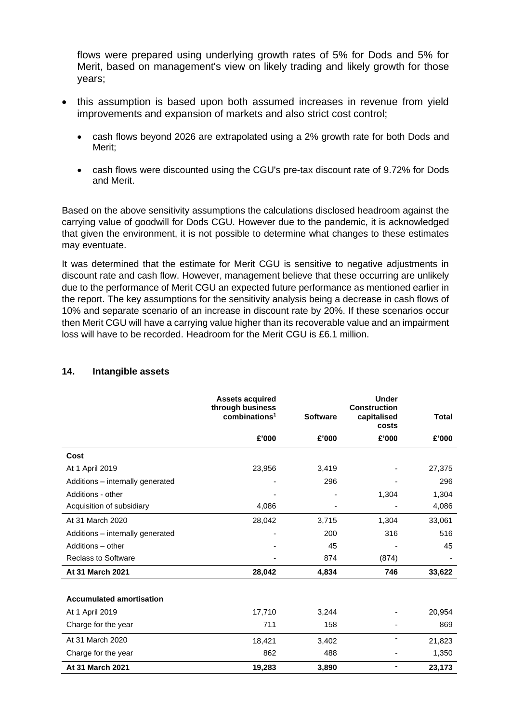flows were prepared using underlying growth rates of 5% for Dods and 5% for Merit, based on management's view on likely trading and likely growth for those years;

- this assumption is based upon both assumed increases in revenue from yield improvements and expansion of markets and also strict cost control;
	- cash flows beyond 2026 are extrapolated using a 2% growth rate for both Dods and Merit;
	- cash flows were discounted using the CGU's pre-tax discount rate of 9.72% for Dods and Merit.

Based on the above sensitivity assumptions the calculations disclosed headroom against the carrying value of goodwill for Dods CGU. However due to the pandemic, it is acknowledged that given the environment, it is not possible to determine what changes to these estimates may eventuate.

It was determined that the estimate for Merit CGU is sensitive to negative adjustments in discount rate and cash flow. However, management believe that these occurring are unlikely due to the performance of Merit CGU an expected future performance as mentioned earlier in the report. The key assumptions for the sensitivity analysis being a decrease in cash flows of 10% and separate scenario of an increase in discount rate by 20%. If these scenarios occur then Merit CGU will have a carrying value higher than its recoverable value and an impairment loss will have to be recorded. Headroom for the Merit CGU is £6.1 million.

|                                  | <b>Assets acquired</b><br>through business<br>combinations <sup>1</sup> | <b>Software</b> | <b>Under</b><br><b>Construction</b><br>capitalised<br>costs | <b>Total</b> |
|----------------------------------|-------------------------------------------------------------------------|-----------------|-------------------------------------------------------------|--------------|
|                                  | £'000                                                                   | £'000           | £'000                                                       | £'000        |
| Cost                             |                                                                         |                 |                                                             |              |
| At 1 April 2019                  | 23,956                                                                  | 3,419           |                                                             | 27,375       |
| Additions - internally generated |                                                                         | 296             |                                                             | 296          |
| Additions - other                |                                                                         |                 | 1,304                                                       | 1,304        |
| Acquisition of subsidiary        | 4,086                                                                   |                 |                                                             | 4,086        |
| At 31 March 2020                 | 28,042                                                                  | 3,715           | 1,304                                                       | 33,061       |
| Additions - internally generated |                                                                         | 200             | 316                                                         | 516          |
| Additions - other                |                                                                         | 45              |                                                             | 45           |
| <b>Reclass to Software</b>       |                                                                         | 874             | (874)                                                       |              |
| At 31 March 2021                 | 28,042                                                                  | 4,834           | 746                                                         | 33,622       |
| <b>Accumulated amortisation</b>  |                                                                         |                 |                                                             |              |
| At 1 April 2019                  | 17,710                                                                  | 3,244           |                                                             | 20,954       |
| Charge for the year              | 711                                                                     | 158             |                                                             | 869          |
| At 31 March 2020                 | 18,421                                                                  | 3,402           | ٠                                                           | 21,823       |
| Charge for the year              | 862                                                                     | 488             |                                                             | 1,350        |
| At 31 March 2021                 | 19,283                                                                  | 3,890           | ۰                                                           | 23,173       |

#### **14. Intangible assets**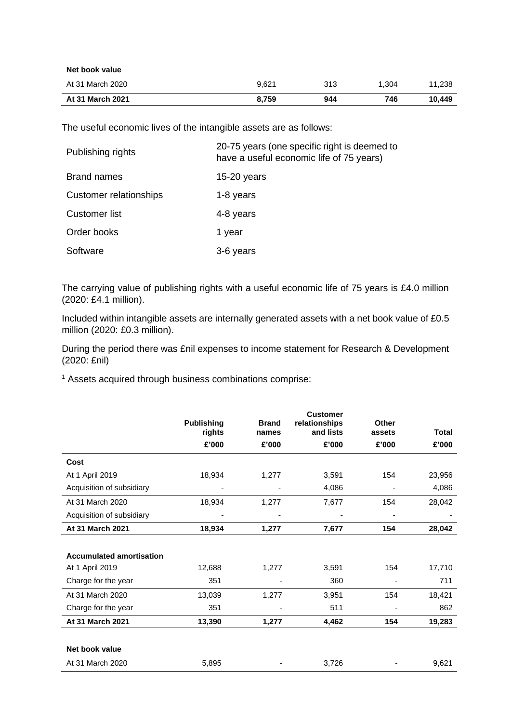| At 31 March 2021 | 8.759 | 944 | 746   | 10.449 |
|------------------|-------|-----|-------|--------|
| At 31 March 2020 | 9.621 | 313 | 1.304 | 11.238 |
| Net book value   |       |     |       |        |

The useful economic lives of the intangible assets are as follows:

| Publishing rights             | 20-75 years (one specific right is deemed to<br>have a useful economic life of 75 years) |
|-------------------------------|------------------------------------------------------------------------------------------|
| <b>Brand names</b>            | $15-20$ years                                                                            |
| <b>Customer relationships</b> | 1-8 years                                                                                |
| Customer list                 | 4-8 years                                                                                |
| Order books                   | 1 year                                                                                   |
| Software                      | 3-6 years                                                                                |

The carrying value of publishing rights with a useful economic life of 75 years is £4.0 million (2020: £4.1 million).

Included within intangible assets are internally generated assets with a net book value of £0.5 million (2020: £0.3 million).

During the period there was £nil expenses to income statement for Research & Development (2020: £nil)

<sup>1</sup> Assets acquired through business combinations comprise:

|                                 | <b>Publishing</b> | <b>Brand</b> | <b>Customer</b><br>relationships<br>and lists | Other  | <b>Total</b> |
|---------------------------------|-------------------|--------------|-----------------------------------------------|--------|--------------|
|                                 | rights            | names        |                                               | assets |              |
|                                 | £'000             | £'000        | £'000                                         | £'000  | £'000        |
| Cost                            |                   |              |                                               |        |              |
| At 1 April 2019                 | 18,934            | 1,277        | 3,591                                         | 154    | 23,956       |
| Acquisition of subsidiary       | -                 |              | 4,086                                         |        | 4,086        |
| At 31 March 2020                | 18,934            | 1,277        | 7,677                                         | 154    | 28,042       |
| Acquisition of subsidiary       |                   | ٠            |                                               | -      | -            |
| At 31 March 2021                | 18,934            | 1,277        | 7,677                                         | 154    | 28,042       |
|                                 |                   |              |                                               |        |              |
| <b>Accumulated amortisation</b> |                   |              |                                               |        |              |
| At 1 April 2019                 | 12,688            | 1,277        | 3,591                                         | 154    | 17,710       |
| Charge for the year             | 351               |              | 360                                           |        | 711          |
| At 31 March 2020                | 13,039            | 1,277        | 3,951                                         | 154    | 18,421       |
| Charge for the year             | 351               |              | 511                                           |        | 862          |
| At 31 March 2021                | 13,390            | 1,277        | 4,462                                         | 154    | 19,283       |
|                                 |                   |              |                                               |        |              |
| Net book value                  |                   |              |                                               |        |              |
| At 31 March 2020                | 5,895             |              | 3,726                                         |        | 9,621        |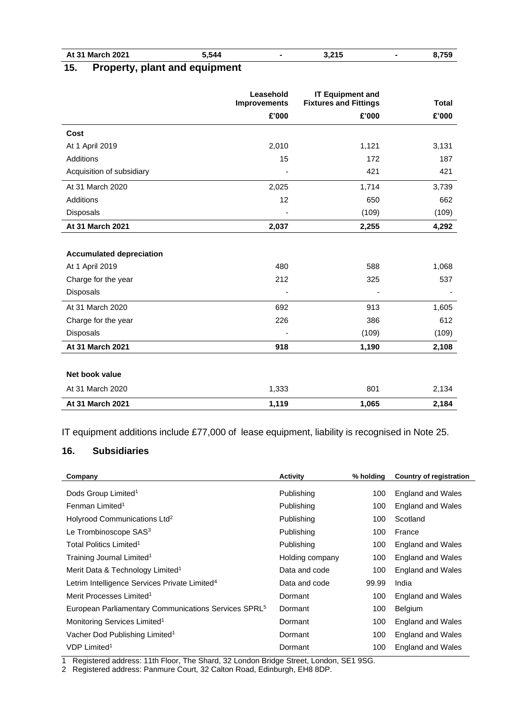| <b>March 2021</b><br>At 31 |  | ---<br>- 544. س |  | $-2.015$<br>J.,<br>. |  |
|----------------------------|--|-----------------|--|----------------------|--|
|                            |  |                 |  |                      |  |

# **15. Property, plant and equipment**

|                                 | Leasehold<br><b>Improvements</b> | <b>IT Equipment and</b><br><b>Fixtures and Fittings</b> | <b>Total</b> |
|---------------------------------|----------------------------------|---------------------------------------------------------|--------------|
|                                 | £'000                            | £'000                                                   | £'000        |
| Cost                            |                                  |                                                         |              |
| At 1 April 2019                 | 2,010                            | 1,121                                                   | 3,131        |
| <b>Additions</b>                | 15                               | 172                                                     | 187          |
| Acquisition of subsidiary       |                                  | 421                                                     | 421          |
| At 31 March 2020                | 2,025                            | 1,714                                                   | 3,739        |
| <b>Additions</b>                | 12                               | 650                                                     | 662          |
| Disposals                       |                                  | (109)                                                   | (109)        |
| At 31 March 2021                | 2,037                            | 2,255                                                   | 4,292        |
|                                 |                                  |                                                         |              |
| <b>Accumulated depreciation</b> |                                  |                                                         |              |
| At 1 April 2019                 | 480                              | 588                                                     | 1,068        |
| Charge for the year             | 212                              | 325                                                     | 537          |
| Disposals                       |                                  |                                                         |              |
| At 31 March 2020                | 692                              | 913                                                     | 1,605        |
| Charge for the year             | 226                              | 386                                                     | 612          |
| Disposals                       |                                  | (109)                                                   | (109)        |
| At 31 March 2021                | 918                              | 1,190                                                   | 2,108        |
|                                 |                                  |                                                         |              |
| Net book value                  |                                  |                                                         |              |
| At 31 March 2020                | 1,333                            | 801                                                     | 2,134        |
| At 31 March 2021                | 1,119                            | 1,065                                                   | 2,184        |

IT equipment additions include £77,000 of lease equipment, liability is recognised in Note 25.

## **16. Subsidiaries**

| Company                                                          | <b>Activity</b> | % holding | Country of registration  |
|------------------------------------------------------------------|-----------------|-----------|--------------------------|
| Dods Group Limited <sup>1</sup>                                  | Publishing      | 100       | England and Wales        |
| Fenman Limited <sup>1</sup>                                      | Publishing      | 100       | England and Wales        |
| Holyrood Communications Ltd <sup>2</sup>                         | Publishing      | 100       | Scotland                 |
| Le Trombinoscope SAS <sup>3</sup>                                | Publishing      | 100       | France                   |
| Total Politics Limited <sup>1</sup>                              | Publishing      | 100       | England and Wales        |
| Training Journal Limited <sup>1</sup>                            | Holding company | 100       | England and Wales        |
| Merit Data & Technology Limited <sup>1</sup>                     | Data and code   | 100       | <b>England and Wales</b> |
| Letrim Intelligence Services Private Limited <sup>4</sup>        | Data and code   | 99.99     | India                    |
| Merit Processes Limited <sup>1</sup>                             | Dormant         | 100       | England and Wales        |
| European Parliamentary Communications Services SPRL <sup>5</sup> | Dormant         | 100       | <b>Belgium</b>           |
| Monitoring Services Limited <sup>1</sup>                         | Dormant         | 100       | England and Wales        |
| Vacher Dod Publishing Limited <sup>1</sup>                       | Dormant         | 100       | England and Wales        |
| VDP Limited <sup>1</sup>                                         | Dormant         | 100       | England and Wales        |

1 Registered address: 11th Floor, The Shard, 32 London Bridge Street, London, SE1 9SG.

2 Registered address: Panmure Court, 32 Calton Road, Edinburgh, EH8 8DP.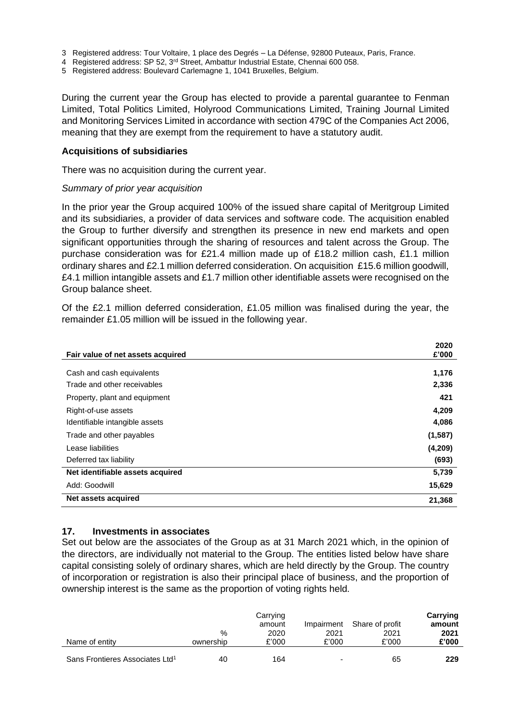- 3 Registered address: Tour Voltaire, 1 place des Degrés La Défense, 92800 Puteaux, Paris, France.
- 4 Registered address: SP 52, 3rd Street, Ambattur Industrial Estate, Chennai 600 058.
- 5 Registered address: Boulevard Carlemagne 1, 1041 Bruxelles, Belgium.

During the current year the Group has elected to provide a parental guarantee to Fenman Limited, Total Politics Limited, Holyrood Communications Limited, Training Journal Limited and Monitoring Services Limited in accordance with section 479C of the Companies Act 2006, meaning that they are exempt from the requirement to have a statutory audit.

#### **Acquisitions of subsidiaries**

There was no acquisition during the current year.

#### *Summary of prior year acquisition*

In the prior year the Group acquired 100% of the issued share capital of Meritgroup Limited and its subsidiaries, a provider of data services and software code. The acquisition enabled the Group to further diversify and strengthen its presence in new end markets and open significant opportunities through the sharing of resources and talent across the Group. The purchase consideration was for £21.4 million made up of £18.2 million cash, £1.1 million ordinary shares and £2.1 million deferred consideration. On acquisition £15.6 million goodwill, £4.1 million intangible assets and £1.7 million other identifiable assets were recognised on the Group balance sheet.

Of the £2.1 million deferred consideration, £1.05 million was finalised during the year, the remainder £1.05 million will be issued in the following year.

|                                   | 2020    |
|-----------------------------------|---------|
| Fair value of net assets acquired | £'000   |
| Cash and cash equivalents         | 1,176   |
| Trade and other receivables       | 2,336   |
| Property, plant and equipment     | 421     |
| Right-of-use assets               | 4,209   |
| Identifiable intangible assets    | 4,086   |
| Trade and other payables          | (1,587) |
| Lease liabilities                 | (4,209) |
| Deferred tax liability            | (693)   |
| Net identifiable assets acquired  | 5,739   |
| Add: Goodwill                     | 15,629  |
| Net assets acquired               | 21,368  |

#### **17. Investments in associates**

Set out below are the associates of the Group as at 31 March 2021 which, in the opinion of the directors, are individually not material to the Group. The entities listed below have share capital consisting solely of ordinary shares, which are held directly by the Group. The country of incorporation or registration is also their principal place of business, and the proportion of ownership interest is the same as the proportion of voting rights held.

| Name of entity                              | %<br>ownership | Carrying<br>amount<br>2020<br>£'000 | Impairment<br>2021<br>£'000 | Share of profit<br>2021<br>£'000 | Carrying<br>amount<br>2021<br>£'000 |
|---------------------------------------------|----------------|-------------------------------------|-----------------------------|----------------------------------|-------------------------------------|
| Sans Frontieres Associates Ltd <sup>1</sup> | 40             | 164                                 | $\overline{\phantom{a}}$    | 65                               | 229                                 |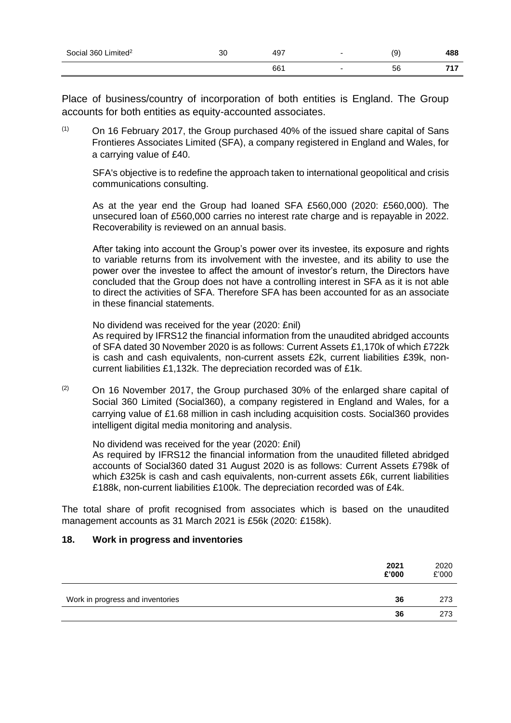| Social 360 Limited <sup>2</sup> | ົ<br>ას | 497 | ί9 | 488          |
|---------------------------------|---------|-----|----|--------------|
|                                 |         | 661 | 56 | 74 7<br>- 11 |

Place of business/country of incorporation of both entities is England. The Group accounts for both entities as equity-accounted associates.

 $(1)$  On 16 February 2017, the Group purchased 40% of the issued share capital of Sans Frontieres Associates Limited (SFA), a company registered in England and Wales, for a carrying value of £40.

SFA's objective is to redefine the approach taken to international geopolitical and crisis communications consulting.

As at the year end the Group had loaned SFA £560,000 (2020: £560,000). The unsecured loan of £560,000 carries no interest rate charge and is repayable in 2022. Recoverability is reviewed on an annual basis.

After taking into account the Group's power over its investee, its exposure and rights to variable returns from its involvement with the investee, and its ability to use the power over the investee to affect the amount of investor's return, the Directors have concluded that the Group does not have a controlling interest in SFA as it is not able to direct the activities of SFA. Therefore SFA has been accounted for as an associate in these financial statements.

No dividend was received for the year (2020: £nil)

As required by IFRS12 the financial information from the unaudited abridged accounts of SFA dated 30 November 2020 is as follows: Current Assets £1,170k of which £722k is cash and cash equivalents, non-current assets £2k, current liabilities £39k, noncurrent liabilities £1,132k. The depreciation recorded was of £1k.

 $(2)$  On 16 November 2017, the Group purchased 30% of the enlarged share capital of Social 360 Limited (Social360), a company registered in England and Wales, for a carrying value of £1.68 million in cash including acquisition costs. Social360 provides intelligent digital media monitoring and analysis.

No dividend was received for the year (2020: £nil) As required by IFRS12 the financial information from the unaudited filleted abridged accounts of Social360 dated 31 August 2020 is as follows: Current Assets £798k of which £325k is cash and cash equivalents, non-current assets £6k, current liabilities £188k, non-current liabilities £100k. The depreciation recorded was of £4k.

The total share of profit recognised from associates which is based on the unaudited management accounts as 31 March 2021 is £56k (2020: £158k).

#### **18. Work in progress and inventories**

|                                  | 2021<br>£'000 | 2020<br>£'000 |
|----------------------------------|---------------|---------------|
| Work in progress and inventories | 36            | 273           |
|                                  | 36            | 273           |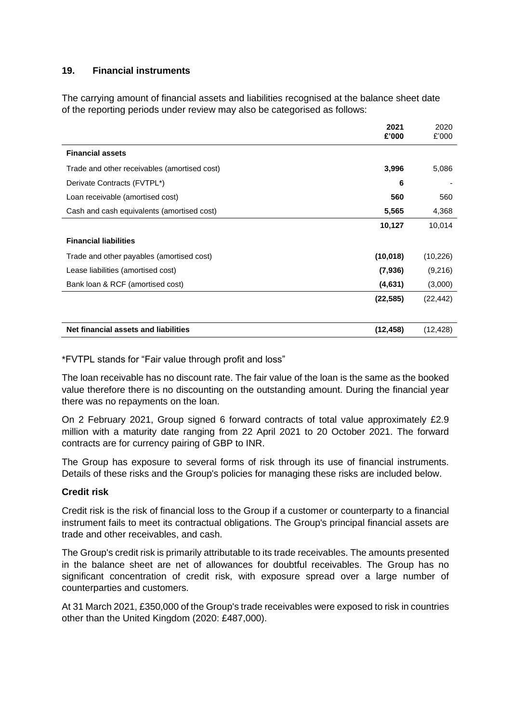### **19. Financial instruments**

The carrying amount of financial assets and liabilities recognised at the balance sheet date of the reporting periods under review may also be categorised as follows:

|                                              | 2021<br>£'000 | 2020<br>£'000 |
|----------------------------------------------|---------------|---------------|
| <b>Financial assets</b>                      |               |               |
| Trade and other receivables (amortised cost) | 3,996         | 5,086         |
| Derivate Contracts (FVTPL*)                  | 6             |               |
| Loan receivable (amortised cost)             | 560           | 560           |
| Cash and cash equivalents (amortised cost)   | 5,565         | 4,368         |
|                                              | 10,127        | 10,014        |
| <b>Financial liabilities</b>                 |               |               |
| Trade and other payables (amortised cost)    | (10,018)      | (10, 226)     |
| Lease liabilities (amortised cost)           | (7,936)       | (9,216)       |
| Bank loan & RCF (amortised cost)             | (4,631)       | (3,000)       |
|                                              | (22, 585)     | (22, 442)     |
| Net financial assets and liabilities         | (12, 458)     | (12, 428)     |

\*FVTPL stands for "Fair value through profit and loss"

The loan receivable has no discount rate. The fair value of the loan is the same as the booked value therefore there is no discounting on the outstanding amount. During the financial year there was no repayments on the loan.

On 2 February 2021, Group signed 6 forward contracts of total value approximately £2.9 million with a maturity date ranging from 22 April 2021 to 20 October 2021. The forward contracts are for currency pairing of GBP to INR.

The Group has exposure to several forms of risk through its use of financial instruments. Details of these risks and the Group's policies for managing these risks are included below.

#### **Credit risk**

Credit risk is the risk of financial loss to the Group if a customer or counterparty to a financial instrument fails to meet its contractual obligations. The Group's principal financial assets are trade and other receivables, and cash.

The Group's credit risk is primarily attributable to its trade receivables. The amounts presented in the balance sheet are net of allowances for doubtful receivables. The Group has no significant concentration of credit risk, with exposure spread over a large number of counterparties and customers.

At 31 March 2021, £350,000 of the Group's trade receivables were exposed to risk in countries other than the United Kingdom (2020: £487,000).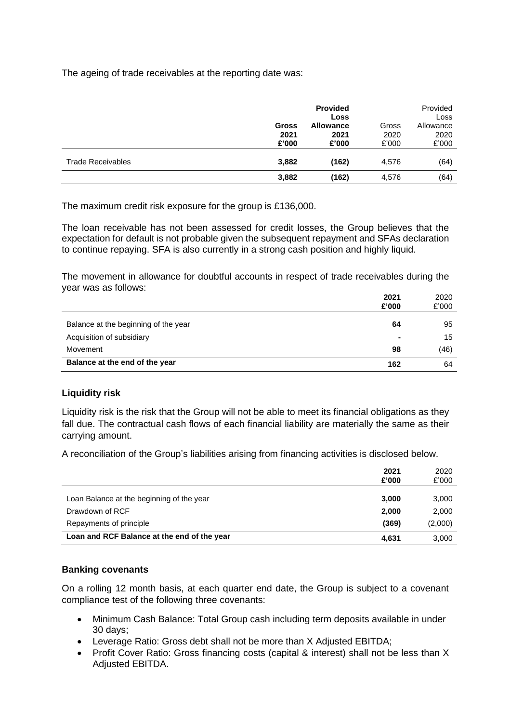The ageing of trade receivables at the reporting date was:

|                          | <b>Gross</b><br>2021<br>£'000 | <b>Provided</b><br><b>Loss</b><br><b>Allowance</b><br>2021<br>£'000 | Gross<br>2020<br>£'000 | Provided<br>Loss<br>Allowance<br>2020<br>£'000 |
|--------------------------|-------------------------------|---------------------------------------------------------------------|------------------------|------------------------------------------------|
| <b>Trade Receivables</b> | 3,882                         | (162)                                                               | 4,576                  | (64)                                           |
|                          | 3,882                         | (162)                                                               | 4,576                  | (64)                                           |

The maximum credit risk exposure for the group is £136,000.

The loan receivable has not been assessed for credit losses, the Group believes that the expectation for default is not probable given the subsequent repayment and SFAs declaration to continue repaying. SFA is also currently in a strong cash position and highly liquid.

The movement in allowance for doubtful accounts in respect of trade receivables during the year was as follows:

|                                      | 2021<br>£'000 | 2020<br>£'000 |
|--------------------------------------|---------------|---------------|
| Balance at the beginning of the year | 64            | 95            |
| Acquisition of subsidiary            |               | 15            |
| Movement                             | 98            | (46)          |
| Balance at the end of the year       | 162           | 64            |

#### **Liquidity risk**

Liquidity risk is the risk that the Group will not be able to meet its financial obligations as they fall due. The contractual cash flows of each financial liability are materially the same as their carrying amount.

A reconciliation of the Group's liabilities arising from financing activities is disclosed below.

|                                             | 2021<br>£'000 | 2020<br>£'000 |
|---------------------------------------------|---------------|---------------|
| Loan Balance at the beginning of the year   | 3,000         | 3,000         |
| Drawdown of RCF                             | 2,000         | 2,000         |
| Repayments of principle                     | (369)         | (2,000)       |
| Loan and RCF Balance at the end of the year | 4,631         | 3,000         |

#### **Banking covenants**

On a rolling 12 month basis, at each quarter end date, the Group is subject to a covenant compliance test of the following three covenants:

- Minimum Cash Balance: Total Group cash including term deposits available in under 30 days;
- Leverage Ratio: Gross debt shall not be more than X Adjusted EBITDA;
- Profit Cover Ratio: Gross financing costs (capital & interest) shall not be less than X Adjusted EBITDA.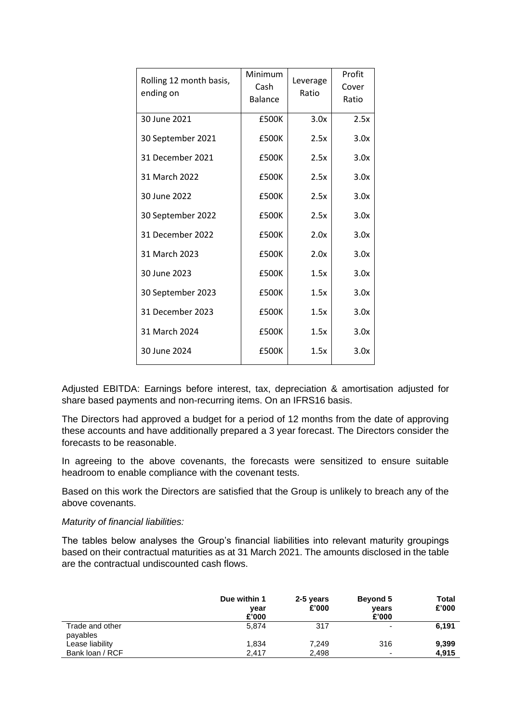| Rolling 12 month basis,<br>ending on | Minimum<br>Cash<br><b>Balance</b> | Leverage<br>Ratio | Profit<br>Cover<br>Ratio |
|--------------------------------------|-----------------------------------|-------------------|--------------------------|
| 30 June 2021                         | £500K                             | 3.0x              | 2.5x                     |
| 30 September 2021                    | £500K                             | 2.5x              | 3.0x                     |
| 31 December 2021                     | £500K                             | 2.5x              | 3.0x                     |
| 31 March 2022                        | £500K                             | 2.5x              | 3.0x                     |
| 30 June 2022                         | £500K                             | 2.5x              | 3.0x                     |
| 30 September 2022                    | £500K                             | 2.5x              | 3.0x                     |
| 31 December 2022                     | £500K                             | 2.0x              | 3.0x                     |
| 31 March 2023                        | £500K                             | 2.0x              | 3.0x                     |
| 30 June 2023                         | £500K                             | 1.5x              | 3.0x                     |
| 30 September 2023                    | £500K                             | 1.5x              | 3.0x                     |
| 31 December 2023                     | £500K                             | 1.5x              | 3.0x                     |
| 31 March 2024                        | £500K                             | 1.5x              | 3.0x                     |
| 30 June 2024                         | £500K                             | 1.5x              | 3.0x                     |

Adjusted EBITDA: Earnings before interest, tax, depreciation & amortisation adjusted for share based payments and non-recurring items. On an IFRS16 basis.

The Directors had approved a budget for a period of 12 months from the date of approving these accounts and have additionally prepared a 3 year forecast. The Directors consider the forecasts to be reasonable.

In agreeing to the above covenants, the forecasts were sensitized to ensure suitable headroom to enable compliance with the covenant tests.

Based on this work the Directors are satisfied that the Group is unlikely to breach any of the above covenants.

#### *Maturity of financial liabilities:*

The tables below analyses the Group's financial liabilities into relevant maturity groupings based on their contractual maturities as at 31 March 2021. The amounts disclosed in the table are the contractual undiscounted cash flows.

|                             | Due within 1<br>year<br>£'000 | 2-5 years<br>£'000 | <b>Beyond 5</b><br>vears<br>£'000 | Total<br>£'000 |
|-----------------------------|-------------------------------|--------------------|-----------------------------------|----------------|
| Trade and other<br>payables | 5.874                         | 317                |                                   | 6,191          |
| Lease liability             | 1,834                         | 7.249              | 316                               | 9,399          |
| Bank loan / RCF             | 2.417                         | 2,498              |                                   | 4.915          |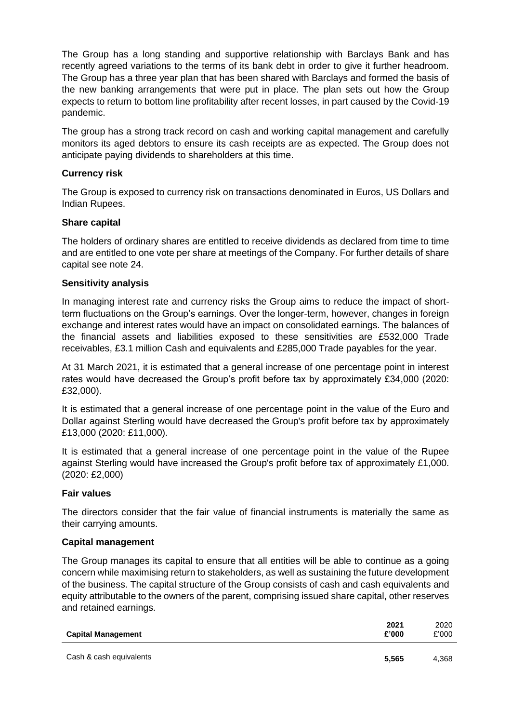The Group has a long standing and supportive relationship with Barclays Bank and has recently agreed variations to the terms of its bank debt in order to give it further headroom. The Group has a three year plan that has been shared with Barclays and formed the basis of the new banking arrangements that were put in place. The plan sets out how the Group expects to return to bottom line profitability after recent losses, in part caused by the Covid-19 pandemic.

The group has a strong track record on cash and working capital management and carefully monitors its aged debtors to ensure its cash receipts are as expected. The Group does not anticipate paying dividends to shareholders at this time.

## **Currency risk**

The Group is exposed to currency risk on transactions denominated in Euros, US Dollars and Indian Rupees.

#### **Share capital**

The holders of ordinary shares are entitled to receive dividends as declared from time to time and are entitled to one vote per share at meetings of the Company. For further details of share capital see note 24.

#### **Sensitivity analysis**

In managing interest rate and currency risks the Group aims to reduce the impact of shortterm fluctuations on the Group's earnings. Over the longer-term, however, changes in foreign exchange and interest rates would have an impact on consolidated earnings. The balances of the financial assets and liabilities exposed to these sensitivities are £532,000 Trade receivables, £3.1 million Cash and equivalents and £285,000 Trade payables for the year.

At 31 March 2021, it is estimated that a general increase of one percentage point in interest rates would have decreased the Group's profit before tax by approximately £34,000 (2020: £32,000).

It is estimated that a general increase of one percentage point in the value of the Euro and Dollar against Sterling would have decreased the Group's profit before tax by approximately £13,000 (2020: £11,000).

It is estimated that a general increase of one percentage point in the value of the Rupee against Sterling would have increased the Group's profit before tax of approximately £1,000. (2020: £2,000)

#### **Fair values**

The directors consider that the fair value of financial instruments is materially the same as their carrying amounts.

#### **Capital management**

The Group manages its capital to ensure that all entities will be able to continue as a going concern while maximising return to stakeholders, as well as sustaining the future development of the business. The capital structure of the Group consists of cash and cash equivalents and equity attributable to the owners of the parent, comprising issued share capital, other reserves and retained earnings.

| <b>Capital Management</b> | 2021<br>£'000 | 2020<br>£'000 |
|---------------------------|---------------|---------------|
| Cash & cash equivalents   | 5.565         | 4.368         |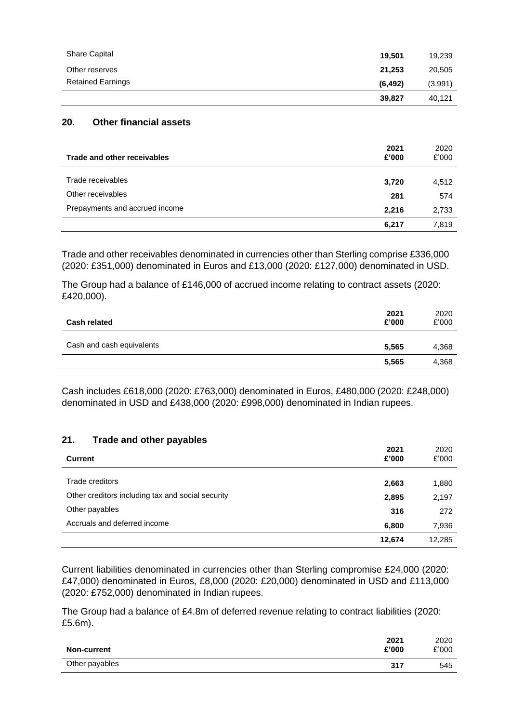|                          | 39,827   | 40.121  |
|--------------------------|----------|---------|
| <b>Retained Earnings</b> | (6, 492) | (3,991) |
| Other reserves           | 21.253   | 20,505  |
| <b>Share Capital</b>     | 19.501   | 19,239  |
|                          |          |         |

#### **20. Other financial assets**

| Trade and other receivables    | 2021<br>£'000 | 2020<br>£'000 |
|--------------------------------|---------------|---------------|
|                                |               |               |
| Trade receivables              | 3,720         | 4,512         |
| Other receivables              | 281           | 574           |
| Prepayments and accrued income | 2,216         | 2,733         |
|                                | 6,217         | 7,819         |

Trade and other receivables denominated in currencies other than Sterling comprise £336,000 (2020: £351,000) denominated in Euros and £13,000 (2020: £127,000) denominated in USD.

The Group had a balance of £146,000 of accrued income relating to contract assets (2020: £420,000).

| <b>Cash related</b>       | 2021<br>£'000 | 2020<br>£'000 |
|---------------------------|---------------|---------------|
| Cash and cash equivalents | 5,565         | 4,368         |
|                           | 5,565         | 4,368         |

Cash includes £618,000 (2020: £763,000) denominated in Euros, £480,000 (2020: £248,000) denominated in USD and £438,000 (2020: £998,000) denominated in Indian rupees.

#### **21. Trade and other payables**

| <b>Current</b>                                    | 2021<br>£'000 | 2020<br>£'000 |
|---------------------------------------------------|---------------|---------------|
| Trade creditors                                   | 2,663         | 1,880         |
| Other creditors including tax and social security | 2,895         | 2,197         |
| Other payables                                    | 316           | 272           |
| Accruals and deferred income                      | 6,800         | 7,936         |
|                                                   | 12,674        | 12.285        |

Current liabilities denominated in currencies other than Sterling compromise £24,000 (2020: £47,000) denominated in Euros, £8,000 (2020: £20,000) denominated in USD and £113,000 (2020: £752,000) denominated in Indian rupees.

The Group had a balance of £4.8m of deferred revenue relating to contract liabilities (2020: £5.6m).

| <b>Non-current</b> | 2021<br>£'000 | 2020<br>£'000 |
|--------------------|---------------|---------------|
| Other payables     | 317           | 545           |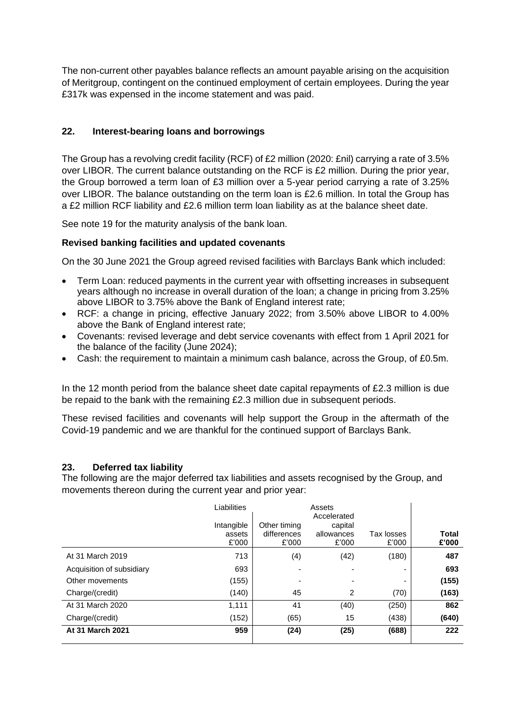The non-current other payables balance reflects an amount payable arising on the acquisition of Meritgroup, contingent on the continued employment of certain employees. During the year £317k was expensed in the income statement and was paid.

# **22. Interest-bearing loans and borrowings**

The Group has a revolving credit facility (RCF) of £2 million (2020: £nil) carrying a rate of 3.5% over LIBOR. The current balance outstanding on the RCF is £2 million. During the prior year, the Group borrowed a term loan of £3 million over a 5-year period carrying a rate of 3.25% over LIBOR. The balance outstanding on the term loan is £2.6 million. In total the Group has a £2 million RCF liability and £2.6 million term loan liability as at the balance sheet date.

See note 19 for the maturity analysis of the bank loan.

# **Revised banking facilities and updated covenants**

On the 30 June 2021 the Group agreed revised facilities with Barclays Bank which included:

- Term Loan: reduced payments in the current year with offsetting increases in subsequent years although no increase in overall duration of the loan; a change in pricing from 3.25% above LIBOR to 3.75% above the Bank of England interest rate;
- RCF: a change in pricing, effective January 2022; from 3.50% above LIBOR to 4.00% above the Bank of England interest rate;
- Covenants: revised leverage and debt service covenants with effect from 1 April 2021 for the balance of the facility (June 2024);
- Cash: the requirement to maintain a minimum cash balance, across the Group, of £0.5m.

In the 12 month period from the balance sheet date capital repayments of  $E2.3$  million is due be repaid to the bank with the remaining £2.3 million due in subsequent periods.

These revised facilities and covenants will help support the Group in the aftermath of the Covid-19 pandemic and we are thankful for the continued support of Barclays Bank.

#### **23. Deferred tax liability**

The following are the major deferred tax liabilities and assets recognised by the Group, and movements thereon during the current year and prior year:

|                           | Liabilities                   |                                      | Assets<br>Accelerated          |                          |                |
|---------------------------|-------------------------------|--------------------------------------|--------------------------------|--------------------------|----------------|
|                           | Intangible<br>assets<br>£'000 | Other timing<br>differences<br>£'000 | capital<br>allowances<br>£'000 | Tax losses<br>£'000      | Total<br>£'000 |
| At 31 March 2019          | 713                           | (4)                                  | (42)                           | (180)                    | 487            |
| Acquisition of subsidiary | 693                           | $\overline{\phantom{a}}$             |                                | -                        | 693            |
| Other movements           | (155)                         | ٠                                    | ٠                              | $\overline{\phantom{0}}$ | (155)          |
| Charge/(credit)           | (140)                         | 45                                   | 2                              | (70)                     | (163)          |
| At 31 March 2020          | 1,111                         | 41                                   | (40)                           | (250)                    | 862            |
| Charge/(credit)           | (152)                         | (65)                                 | 15                             | (438)                    | (640)          |
| At 31 March 2021          | 959                           | (24)                                 | (25)                           | (688)                    | 222            |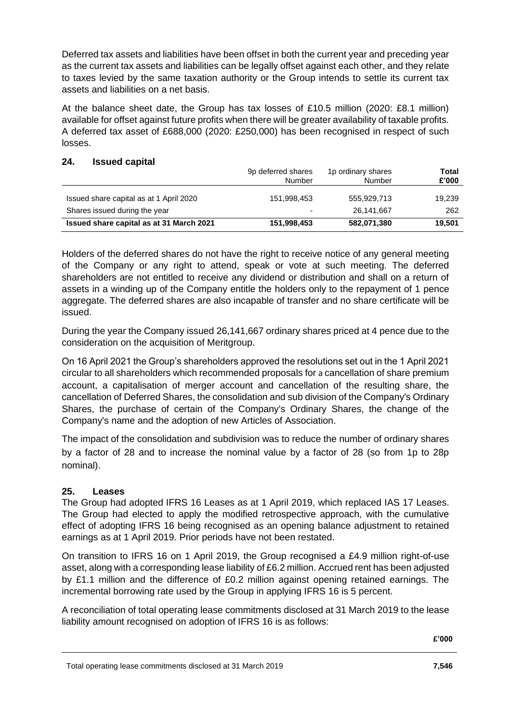Deferred tax assets and liabilities have been offset in both the current year and preceding year as the current tax assets and liabilities can be legally offset against each other, and they relate to taxes levied by the same taxation authority or the Group intends to settle its current tax assets and liabilities on a net basis.

At the balance sheet date, the Group has tax losses of £10.5 million (2020: £8.1 million) available for offset against future profits when there will be greater availability of taxable profits. A deferred tax asset of £688,000 (2020: £250,000) has been recognised in respect of such losses.

#### **24. Issued capital**

|                                          | 9p deferred shares<br>Number | 1p ordinary shares<br>Number | Total<br>£'000 |
|------------------------------------------|------------------------------|------------------------------|----------------|
| Issued share capital as at 1 April 2020  | 151.998.453                  | 555.929.713                  | 19,239         |
| Shares issued during the year            | ۰                            | 26.141.667                   | 262            |
| Issued share capital as at 31 March 2021 | 151,998,453                  | 582,071,380                  | 19.501         |

Holders of the deferred shares do not have the right to receive notice of any general meeting of the Company or any right to attend, speak or vote at such meeting. The deferred shareholders are not entitled to receive any dividend or distribution and shall on a return of assets in a winding up of the Company entitle the holders only to the repayment of 1 pence aggregate. The deferred shares are also incapable of transfer and no share certificate will be issued.

During the year the Company issued 26,141,667 ordinary shares priced at 4 pence due to the consideration on the acquisition of Meritgroup.

On 16 April 2021 the Group's shareholders approved the resolutions set out in the 1 April 2021 circular to all shareholders which recommended proposals for a cancellation of share premium account, a capitalisation of merger account and cancellation of the resulting share, the cancellation of Deferred Shares, the consolidation and sub division of the Company's Ordinary Shares, the purchase of certain of the Company's Ordinary Shares, the change of the Company's name and the adoption of new Articles of Association.

The impact of the consolidation and subdivision was to reduce the number of ordinary shares by a factor of 28 and to increase the nominal value by a factor of 28 (so from 1p to 28p nominal).

# **25. Leases**

The Group had adopted IFRS 16 Leases as at 1 April 2019, which replaced IAS 17 Leases. The Group had elected to apply the modified retrospective approach, with the cumulative effect of adopting IFRS 16 being recognised as an opening balance adjustment to retained earnings as at 1 April 2019. Prior periods have not been restated.

On transition to IFRS 16 on 1 April 2019, the Group recognised a £4.9 million right-of-use asset, along with a corresponding lease liability of £6.2 million. Accrued rent has been adjusted by £1.1 million and the difference of £0.2 million against opening retained earnings. The incremental borrowing rate used by the Group in applying IFRS 16 is 5 percent.

A reconciliation of total operating lease commitments disclosed at 31 March 2019 to the lease liability amount recognised on adoption of IFRS 16 is as follows: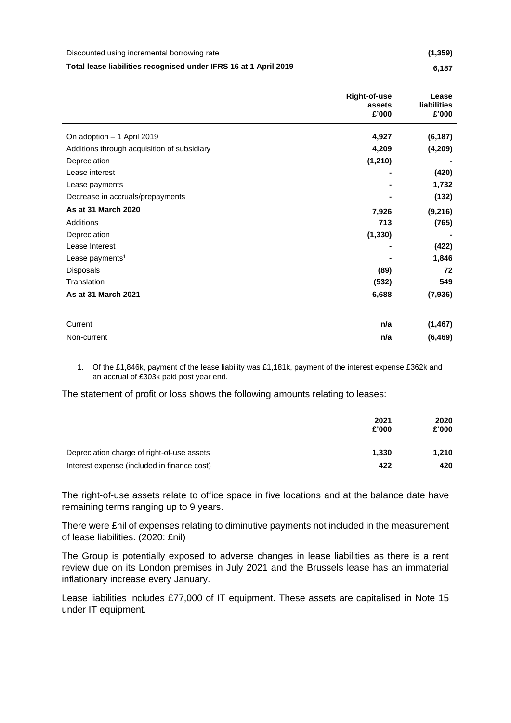|  | Discounted using incremental borrowing rate | (1, 359) |
|--|---------------------------------------------|----------|
|--|---------------------------------------------|----------|

| Total lease liabilities recognised under IFRS 16 at 1 April 2019<br>6,187 |
|---------------------------------------------------------------------------|
|---------------------------------------------------------------------------|

|                                             | <b>Right-of-use</b><br>assets<br>£'000 | Lease<br><b>liabilities</b><br>£'000 |
|---------------------------------------------|----------------------------------------|--------------------------------------|
| On adoption - 1 April 2019                  | 4,927                                  | (6, 187)                             |
| Additions through acquisition of subsidiary | 4,209                                  | (4, 209)                             |
| Depreciation                                | (1, 210)                               |                                      |
| Lease interest                              |                                        | (420)                                |
| Lease payments                              |                                        | 1,732                                |
| Decrease in accruals/prepayments            |                                        | (132)                                |
| As at 31 March 2020                         | 7,926                                  | (9,216)                              |
| Additions                                   | 713                                    | (765)                                |
| Depreciation                                | (1, 330)                               |                                      |
| Lease Interest                              |                                        | (422)                                |
| Lease payments <sup>1</sup>                 |                                        | 1,846                                |
| Disposals                                   | (89)                                   | 72                                   |
| Translation                                 | (532)                                  | 549                                  |
| As at 31 March 2021                         | 6,688                                  | (7,936)                              |
| Current                                     | n/a                                    | (1, 467)                             |
| Non-current                                 | n/a                                    | (6, 469)                             |

1. Of the £1,846k, payment of the lease liability was £1,181k, payment of the interest expense £362k and an accrual of £303k paid post year end.

The statement of profit or loss shows the following amounts relating to leases:

|                                             | 2021<br>£'000 | 2020<br>£'000 |
|---------------------------------------------|---------------|---------------|
| Depreciation charge of right-of-use assets  | 1,330         | 1.210         |
| Interest expense (included in finance cost) | 422           | 420           |

The right-of-use assets relate to office space in five locations and at the balance date have remaining terms ranging up to 9 years.

There were £nil of expenses relating to diminutive payments not included in the measurement of lease liabilities. (2020: £nil)

The Group is potentially exposed to adverse changes in lease liabilities as there is a rent review due on its London premises in July 2021 and the Brussels lease has an immaterial inflationary increase every January.

Lease liabilities includes £77,000 of IT equipment. These assets are capitalised in Note 15 under IT equipment.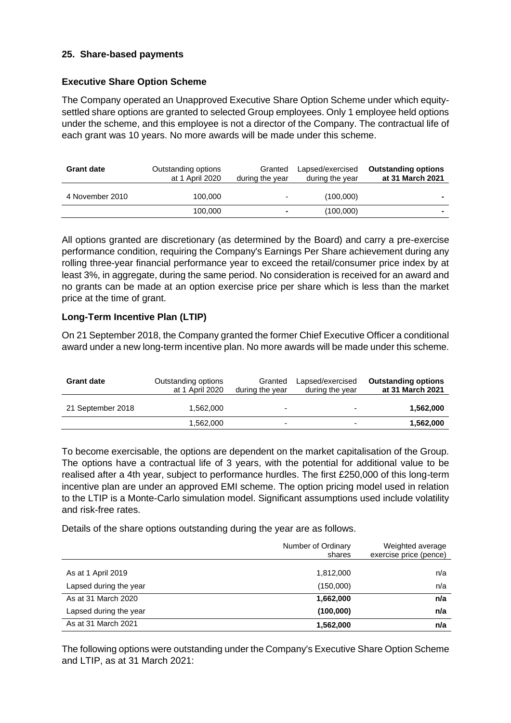### **25. Share-based payments**

#### **Executive Share Option Scheme**

The Company operated an Unapproved Executive Share Option Scheme under which equitysettled share options are granted to selected Group employees. Only 1 employee held options under the scheme, and this employee is not a director of the Company. The contractual life of each grant was 10 years. No more awards will be made under this scheme.

| <b>Grant date</b> | Outstanding options<br>at 1 April 2020 | Granted<br>during the year | Lapsed/exercised<br>during the year | <b>Outstanding options</b><br>at 31 March 2021 |
|-------------------|----------------------------------------|----------------------------|-------------------------------------|------------------------------------------------|
| 4 November 2010   | 100.000                                | ۰                          | (100,000)                           | $\overline{\phantom{a}}$                       |
|                   | 100.000                                | $\blacksquare$             | (100,000)                           |                                                |

All options granted are discretionary (as determined by the Board) and carry a pre-exercise performance condition, requiring the Company's Earnings Per Share achievement during any rolling three-year financial performance year to exceed the retail/consumer price index by at least 3%, in aggregate, during the same period. No consideration is received for an award and no grants can be made at an option exercise price per share which is less than the market price at the time of grant.

# **Long-Term Incentive Plan (LTIP)**

On 21 September 2018, the Company granted the former Chief Executive Officer a conditional award under a new long-term incentive plan. No more awards will be made under this scheme.

| <b>Grant date</b> | Outstanding options<br>at 1 April 2020 | Granted<br>during the year | Lapsed/exercised<br>during the year | <b>Outstanding options</b><br>at 31 March 2021 |
|-------------------|----------------------------------------|----------------------------|-------------------------------------|------------------------------------------------|
| 21 September 2018 | 1.562.000                              | $\overline{\phantom{0}}$   | $\overline{\phantom{0}}$            | 1,562,000                                      |
|                   | 1.562.000                              | -                          | $\overline{\phantom{0}}$            | 1,562,000                                      |

To become exercisable, the options are dependent on the market capitalisation of the Group. The options have a contractual life of 3 years, with the potential for additional value to be realised after a 4th year, subject to performance hurdles. The first £250,000 of this long-term incentive plan are under an approved EMI scheme. The option pricing model used in relation to the LTIP is a Monte-Carlo simulation model. Significant assumptions used include volatility and risk-free rates.

Details of the share options outstanding during the year are as follows.

|                        | Number of Ordinary<br>shares | Weighted average<br>exercise price (pence) |
|------------------------|------------------------------|--------------------------------------------|
|                        |                              |                                            |
| As at 1 April 2019     | 1,812,000                    | n/a                                        |
| Lapsed during the year | (150,000)                    | n/a                                        |
| As at 31 March 2020    | 1,662,000                    | n/a                                        |
| Lapsed during the year | (100,000)                    | n/a                                        |
| As at 31 March 2021    | 1,562,000                    | n/a                                        |

The following options were outstanding under the Company's Executive Share Option Scheme and LTIP, as at 31 March 2021: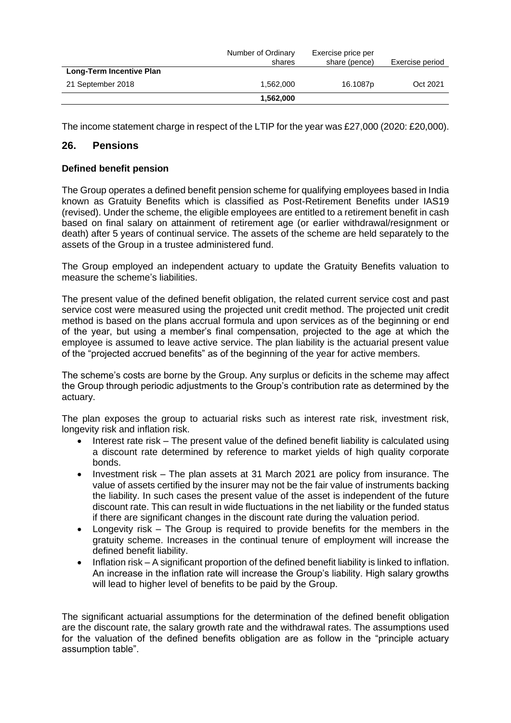|                          | Number of Ordinary<br>shares | Exercise price per<br>share (pence) | Exercise period |
|--------------------------|------------------------------|-------------------------------------|-----------------|
| Long-Term Incentive Plan |                              |                                     |                 |
| 21 September 2018        | 1.562.000                    | 16.1087 <sub>p</sub>                | Oct 2021        |
|                          | 1.562.000                    |                                     |                 |

The income statement charge in respect of the LTIP for the year was £27,000 (2020: £20,000).

### **26. Pensions**

#### **Defined benefit pension**

The Group operates a defined benefit pension scheme for qualifying employees based in India known as Gratuity Benefits which is classified as Post-Retirement Benefits under IAS19 (revised). Under the scheme, the eligible employees are entitled to a retirement benefit in cash based on final salary on attainment of retirement age (or earlier withdrawal/resignment or death) after 5 years of continual service. The assets of the scheme are held separately to the assets of the Group in a trustee administered fund.

The Group employed an independent actuary to update the Gratuity Benefits valuation to measure the scheme's liabilities.

The present value of the defined benefit obligation, the related current service cost and past service cost were measured using the projected unit credit method. The projected unit credit method is based on the plans accrual formula and upon services as of the beginning or end of the year, but using a member's final compensation, projected to the age at which the employee is assumed to leave active service. The plan liability is the actuarial present value of the "projected accrued benefits" as of the beginning of the year for active members.

The scheme's costs are borne by the Group. Any surplus or deficits in the scheme may affect the Group through periodic adjustments to the Group's contribution rate as determined by the actuary.

The plan exposes the group to actuarial risks such as interest rate risk, investment risk, longevity risk and inflation risk.

- Interest rate risk The present value of the defined benefit liability is calculated using a discount rate determined by reference to market yields of high quality corporate bonds.
- Investment risk The plan assets at 31 March 2021 are policy from insurance. The value of assets certified by the insurer may not be the fair value of instruments backing the liability. In such cases the present value of the asset is independent of the future discount rate. This can result in wide fluctuations in the net liability or the funded status if there are significant changes in the discount rate during the valuation period.
- Longevity risk The Group is required to provide benefits for the members in the gratuity scheme. Increases in the continual tenure of employment will increase the defined benefit liability.
- Inflation risk A significant proportion of the defined benefit liability is linked to inflation. An increase in the inflation rate will increase the Group's liability. High salary growths will lead to higher level of benefits to be paid by the Group.

The significant actuarial assumptions for the determination of the defined benefit obligation are the discount rate, the salary growth rate and the withdrawal rates. The assumptions used for the valuation of the defined benefits obligation are as follow in the "principle actuary assumption table".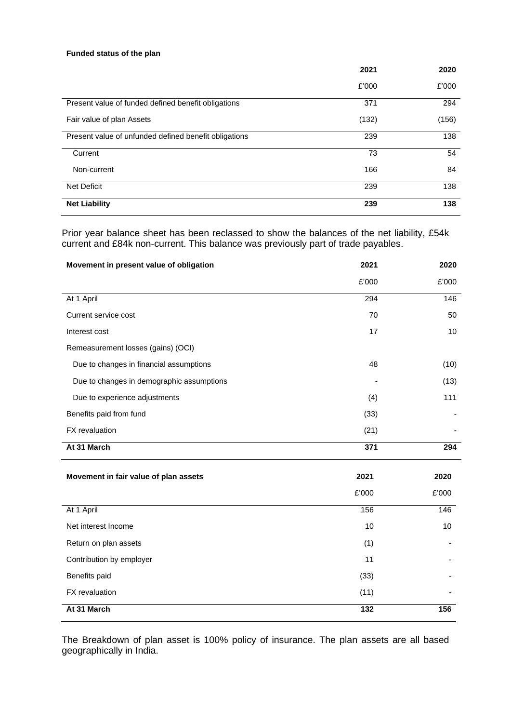#### **Funded status of the plan**

|                                                       | 2021  | 2020  |
|-------------------------------------------------------|-------|-------|
|                                                       | £'000 | £'000 |
| Present value of funded defined benefit obligations   | 371   | 294   |
| Fair value of plan Assets                             | (132) | (156) |
| Present value of unfunded defined benefit obligations | 239   | 138   |
| Current                                               | 73    | 54    |
| Non-current                                           | 166   | 84    |
| <b>Net Deficit</b>                                    | 239   | 138   |
| <b>Net Liability</b>                                  | 239   | 138   |

Prior year balance sheet has been reclassed to show the balances of the net liability, £54k current and £84k non-current. This balance was previously part of trade payables.

| Movement in present value of obligation   | 2021  | 2020  |
|-------------------------------------------|-------|-------|
|                                           | £'000 | £'000 |
| At 1 April                                | 294   | 146   |
| Current service cost                      | 70    | 50    |
| Interest cost                             | 17    | 10    |
| Remeasurement losses (gains) (OCI)        |       |       |
| Due to changes in financial assumptions   | 48    | (10)  |
| Due to changes in demographic assumptions |       | (13)  |
| Due to experience adjustments             | (4)   | 111   |
| Benefits paid from fund                   | (33)  |       |
| FX revaluation                            | (21)  |       |
| At 31 March                               | 371   | 294   |
| Movement in fair value of plan assets     | 2021  | 2020  |
|                                           | £'000 | £'000 |
| At 1 April                                | 156   | 146   |
| Net interest Income                       | 10    | 10    |
| Return on plan assets                     | (1)   |       |
| Contribution by employer                  | 11    |       |
| Benefits paid                             | (33)  |       |
| FX revaluation                            | (11)  |       |
| At 31 March                               | 132   | 156   |

The Breakdown of plan asset is 100% policy of insurance. The plan assets are all based geographically in India.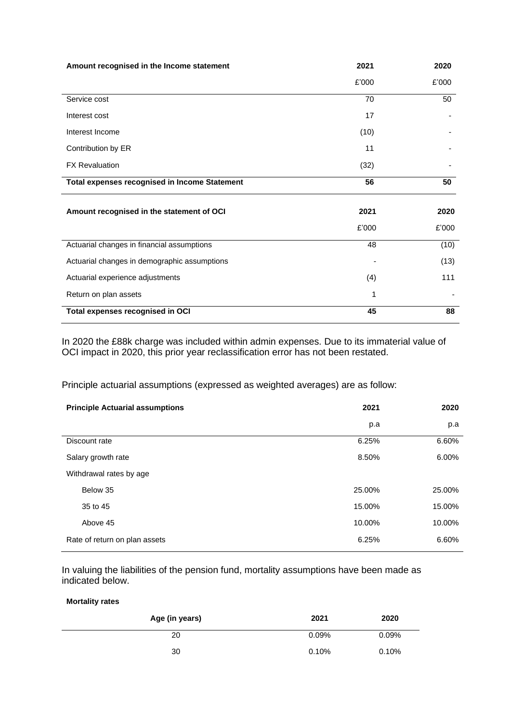| Amount recognised in the Income statement            | 2021  | 2020  |
|------------------------------------------------------|-------|-------|
|                                                      | £'000 | £'000 |
| Service cost                                         | 70    | 50    |
| Interest cost                                        | 17    |       |
| Interest Income                                      | (10)  |       |
| Contribution by ER                                   | 11    |       |
| <b>FX Revaluation</b>                                | (32)  |       |
| <b>Total expenses recognised in Income Statement</b> | 56    | 50    |
| Amount recognised in the statement of OCI            | 2021  | 2020  |
|                                                      | £'000 | £'000 |
| Actuarial changes in financial assumptions           | 48    | (10)  |
| Actuarial changes in demographic assumptions         |       | (13)  |
| Actuarial experience adjustments                     | (4)   | 111   |
| Return on plan assets                                | 1     |       |
| Total expenses recognised in OCI                     | 45    | 88    |

In 2020 the £88k charge was included within admin expenses. Due to its immaterial value of OCI impact in 2020, this prior year reclassification error has not been restated.

Principle actuarial assumptions (expressed as weighted averages) are as follow:

| <b>Principle Actuarial assumptions</b> | 2021   | 2020   |
|----------------------------------------|--------|--------|
|                                        | p.a    | p.a    |
| Discount rate                          | 6.25%  | 6.60%  |
| Salary growth rate                     | 8.50%  | 6.00%  |
| Withdrawal rates by age                |        |        |
| Below 35                               | 25.00% | 25.00% |
| 35 to 45                               | 15.00% | 15.00% |
| Above 45                               | 10.00% | 10.00% |
| Rate of return on plan assets          | 6.25%  | 6.60%  |

In valuing the liabilities of the pension fund, mortality assumptions have been made as indicated below.

**Mortality rates**

| Age (in years) | 2021     | 2020  |
|----------------|----------|-------|
| 20             | 0.09%    | 0.09% |
| 30             | $0.10\%$ | 0.10% |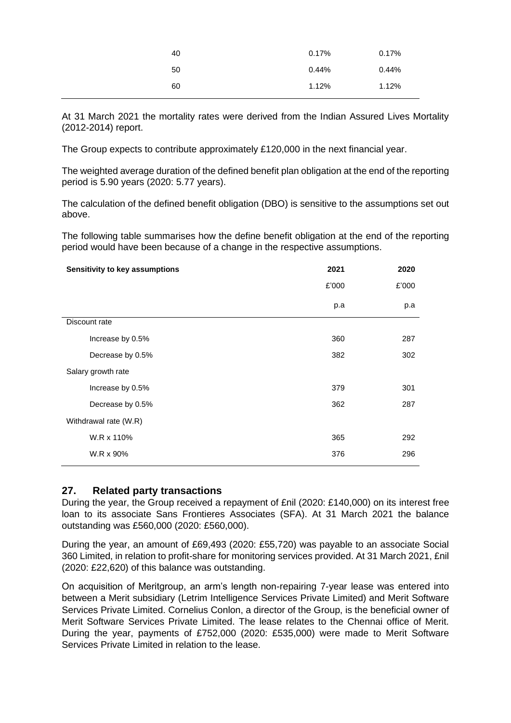| 40 | 0.17% | 0.17% |
|----|-------|-------|
| 50 | 0.44% | 0.44% |
| 60 | 1.12% | 1.12% |

At 31 March 2021 the mortality rates were derived from the Indian Assured Lives Mortality (2012-2014) report.

The Group expects to contribute approximately £120,000 in the next financial year.

The weighted average duration of the defined benefit plan obligation at the end of the reporting period is 5.90 years (2020: 5.77 years).

The calculation of the defined benefit obligation (DBO) is sensitive to the assumptions set out above.

The following table summarises how the define benefit obligation at the end of the reporting period would have been because of a change in the respective assumptions.

| Sensitivity to key assumptions | 2021  | 2020  |
|--------------------------------|-------|-------|
|                                | £'000 | £'000 |
|                                | p.a   | p.a   |
| Discount rate                  |       |       |
| Increase by 0.5%               | 360   | 287   |
| Decrease by 0.5%               | 382   | 302   |
| Salary growth rate             |       |       |
| Increase by 0.5%               | 379   | 301   |
| Decrease by 0.5%               | 362   | 287   |
| Withdrawal rate (W.R)          |       |       |
| W.R x 110%                     | 365   | 292   |
| W.R x 90%                      | 376   | 296   |

#### **27. Related party transactions**

During the year, the Group received a repayment of £nil (2020: £140,000) on its interest free loan to its associate Sans Frontieres Associates (SFA). At 31 March 2021 the balance outstanding was £560,000 (2020: £560,000).

During the year, an amount of £69,493 (2020: £55,720) was payable to an associate Social 360 Limited, in relation to profit-share for monitoring services provided. At 31 March 2021, £nil (2020: £22,620) of this balance was outstanding.

On acquisition of Meritgroup, an arm's length non-repairing 7-year lease was entered into between a Merit subsidiary (Letrim Intelligence Services Private Limited) and Merit Software Services Private Limited. Cornelius Conlon, a director of the Group, is the beneficial owner of Merit Software Services Private Limited. The lease relates to the Chennai office of Merit. During the year, payments of £752,000 (2020: £535,000) were made to Merit Software Services Private Limited in relation to the lease.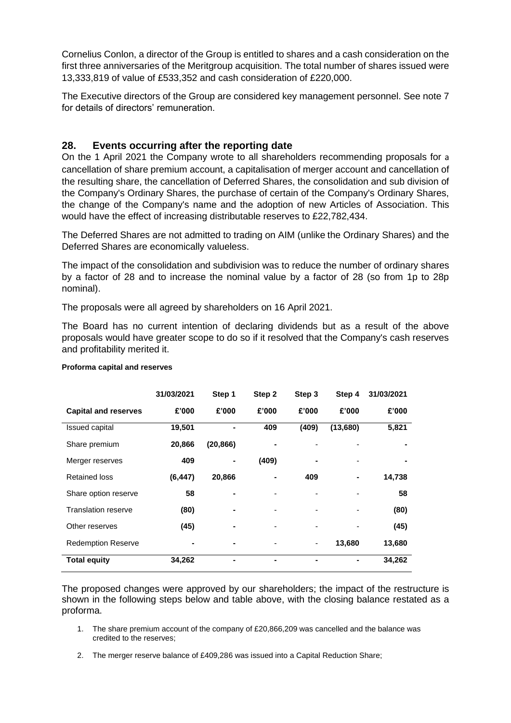Cornelius Conlon, a director of the Group is entitled to shares and a cash consideration on the first three anniversaries of the Meritgroup acquisition. The total number of shares issued were 13,333,819 of value of £533,352 and cash consideration of £220,000.

The Executive directors of the Group are considered key management personnel. See note 7 for details of directors' remuneration.

# **28. Events occurring after the reporting date**

On the 1 April 2021 the Company wrote to all shareholders recommending proposals for a cancellation of share premium account, a capitalisation of merger account and cancellation of the resulting share, the cancellation of Deferred Shares, the consolidation and sub division of the Company's Ordinary Shares, the purchase of certain of the Company's Ordinary Shares, the change of the Company's name and the adoption of new Articles of Association. This would have the effect of increasing distributable reserves to £22,782,434.

The Deferred Shares are not admitted to trading on AIM (unlike the Ordinary Shares) and the Deferred Shares are economically valueless.

The impact of the consolidation and subdivision was to reduce the number of ordinary shares by a factor of 28 and to increase the nominal value by a factor of 28 (so from 1p to 28p nominal).

The proposals were all agreed by shareholders on 16 April 2021.

The Board has no current intention of declaring dividends but as a result of the above proposals would have greater scope to do so if it resolved that the Company's cash reserves and profitability merited it.

|                             | 31/03/2021 | Step 1    | Step 2 | Step 3 | Step 4   | 31/03/2021 |
|-----------------------------|------------|-----------|--------|--------|----------|------------|
| <b>Capital and reserves</b> | £'000      | £'000     | £'000  | £'000  | £'000    | £'000      |
| <b>Issued capital</b>       | 19,501     |           | 409    | (409)  | (13,680) | 5,821      |
| Share premium               | 20,866     | (20, 866) |        |        |          |            |
| Merger reserves             | 409        |           | (409)  |        |          |            |
| <b>Retained loss</b>        | (6, 447)   | 20,866    |        | 409    |          | 14,738     |
| Share option reserve        | 58         |           |        |        |          | 58         |
| <b>Translation reserve</b>  | (80)       |           |        |        |          | (80)       |
| Other reserves              | (45)       |           |        |        |          | (45)       |
| <b>Redemption Reserve</b>   |            |           |        | ۰      | 13,680   | 13,680     |
| <b>Total equity</b>         | 34,262     |           | ۰      | ۰      | -        | 34,262     |

#### **Proforma capital and reserves**

The proposed changes were approved by our shareholders; the impact of the restructure is shown in the following steps below and table above, with the closing balance restated as a proforma.

- 1. The share premium account of the company of £20,866,209 was cancelled and the balance was credited to the reserves;
- 2. The merger reserve balance of £409,286 was issued into a Capital Reduction Share;